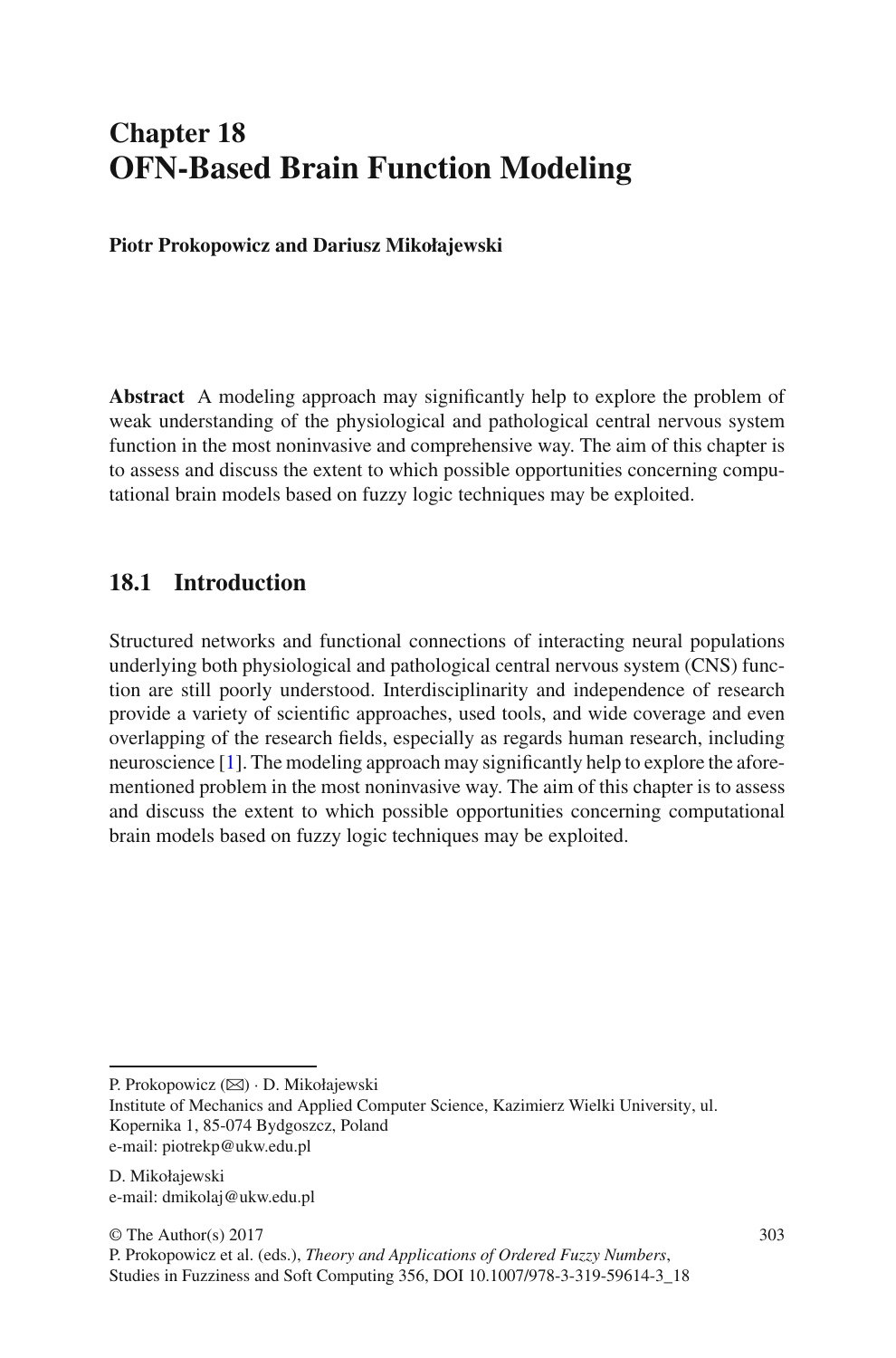# **Chapter 18 OFN-Based Brain Function Modeling**

**Piotr Prokopowicz and Dariusz Mikołajewski**

**Abstract** A modeling approach may significantly help to explore the problem of weak understanding of the physiological and pathological central nervous system function in the most noninvasive and comprehensive way. The aim of this chapter is to assess and discuss the extent to which possible opportunities concerning computational brain models based on fuzzy logic techniques may be exploited.

## **18.1 Introduction**

Structured networks and functional connections of interacting neural populations underlying both physiological and pathological central nervous system (CNS) function are still poorly understood. Interdisciplinarity and independence of research provide a variety of scientific approaches, used tools, and wide coverage and even overlapping of the research fields, especially as regards human research, including neuroscience [\[1\]](#page-15-0). The modeling approach may significantly help to explore the aforementioned problem in the most noninvasive way. The aim of this chapter is to assess and discuss the extent to which possible opportunities concerning computational brain models based on fuzzy logic techniques may be exploited.

P. Prokopowicz (⊠) · D. Mikołajewski

Institute of Mechanics and Applied Computer Science, Kazimierz Wielki University, ul. Kopernika 1, 85-074 Bydgoszcz, Poland e-mail: piotrekp@ukw.edu.pl

D. Mikołajewski e-mail: dmikolaj@ukw.edu.pl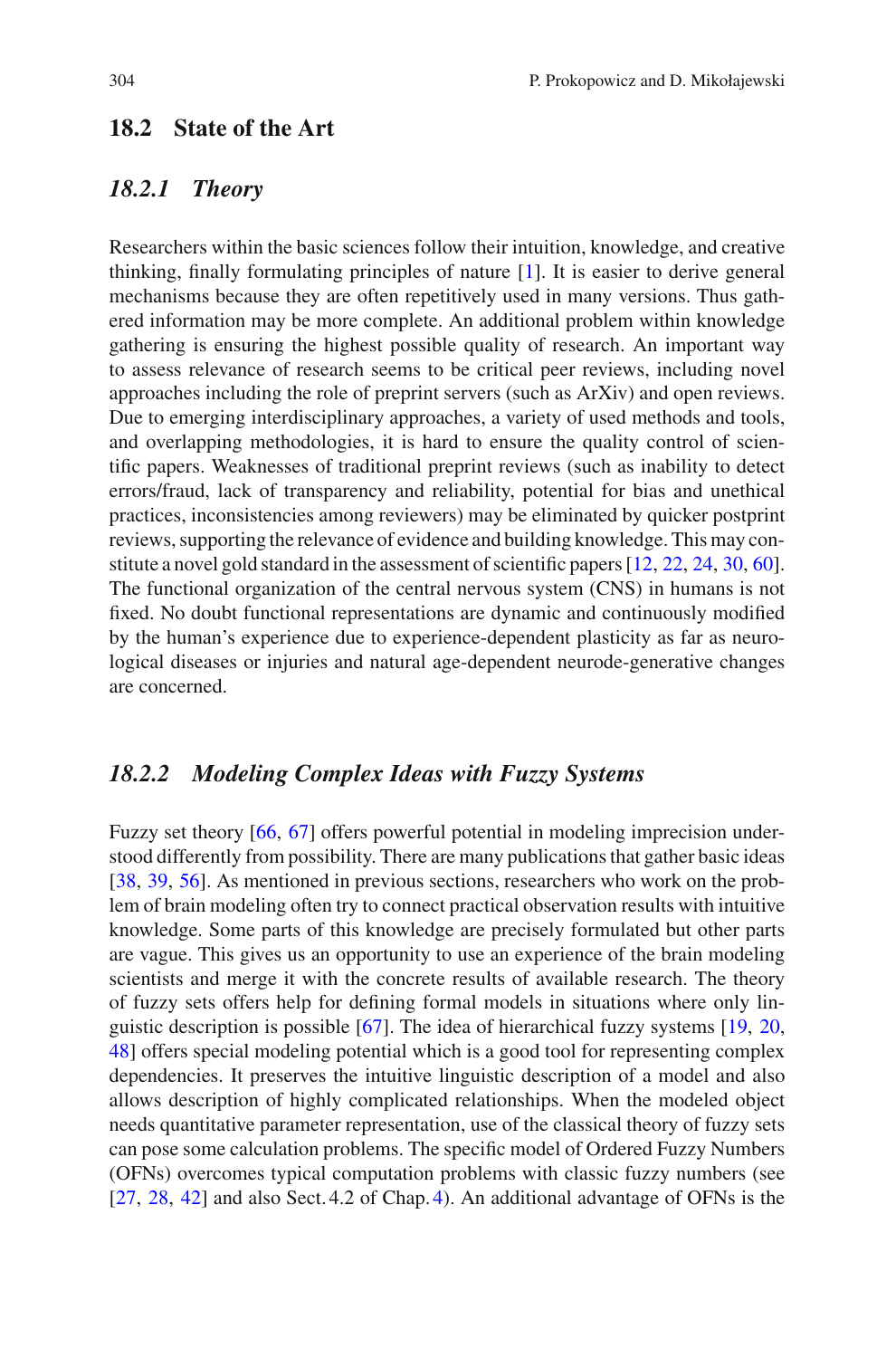#### **18.2 State of the Art**

#### *18.2.1 Theory*

Researchers within the basic sciences follow their intuition, knowledge, and creative thinking, finally formulating principles of nature [\[1](#page-15-0)]. It is easier to derive general mechanisms because they are often repetitively used in many versions. Thus gathered information may be more complete. An additional problem within knowledge gathering is ensuring the highest possible quality of research. An important way to assess relevance of research seems to be critical peer reviews, including novel approaches including the role of preprint servers (such as ArXiv) and open reviews. Due to emerging interdisciplinary approaches, a variety of used methods and tools, and overlapping methodologies, it is hard to ensure the quality control of scientific papers. Weaknesses of traditional preprint reviews (such as inability to detect errors/fraud, lack of transparency and reliability, potential for bias and unethical practices, inconsistencies among reviewers) may be eliminated by quicker postprint reviews, supporting the relevance of evidence and building knowledge. This may constitute a novel gold standard in the assessment of scientific papers [\[12](#page-16-0), [22](#page-16-1), [24,](#page-16-2) [30,](#page-17-0) [60](#page-18-0)]. The functional organization of the central nervous system (CNS) in humans is not fixed. No doubt functional representations are dynamic and continuously modified by the human's experience due to experience-dependent plasticity as far as neurological diseases or injuries and natural age-dependent neurode-generative changes are concerned.

## *18.2.2 Modeling Complex Ideas with Fuzzy Systems*

Fuzzy set theory [\[66,](#page-19-0) [67\]](#page-19-1) offers powerful potential in modeling imprecision understood differently from possibility. There are many publications that gather basic ideas [\[38,](#page-17-1) [39](#page-17-2), [56](#page-18-1)]. As mentioned in previous sections, researchers who work on the problem of brain modeling often try to connect practical observation results with intuitive knowledge. Some parts of this knowledge are precisely formulated but other parts are vague. This gives us an opportunity to use an experience of the brain modeling scientists and merge it with the concrete results of available research. The theory of fuzzy sets offers help for defining formal models in situations where only linguistic description is possible [\[67\]](#page-19-1). The idea of hierarchical fuzzy systems [\[19,](#page-16-3) [20,](#page-16-4) [48\]](#page-18-2) offers special modeling potential which is a good tool for representing complex dependencies. It preserves the intuitive linguistic description of a model and also allows description of highly complicated relationships. When the modeled object needs quantitative parameter representation, use of the classical theory of fuzzy sets can pose some calculation problems. The specific model of Ordered Fuzzy Numbers (OFNs) overcomes typical computation problems with classic fuzzy numbers (see [\[27,](#page-17-3) [28,](#page-17-4) [42\]](#page-17-5) and also Sect. 4.2 of Chap. [4\)](http://dx.doi.org/10.1007/978-3-319-59614-3_4). An additional advantage of OFNs is the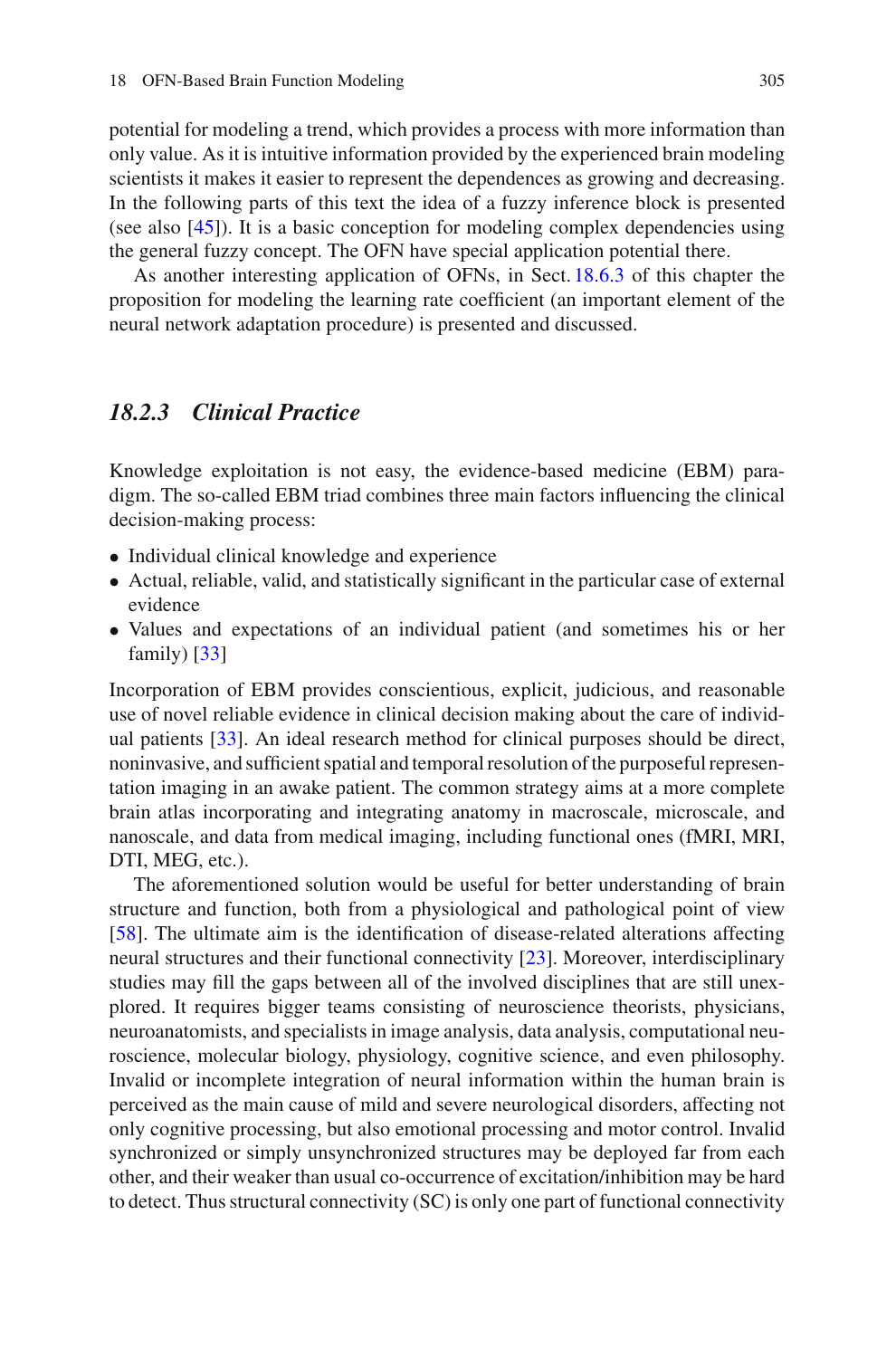potential for modeling a trend, which provides a process with more information than only value. As it is intuitive information provided by the experienced brain modeling scientists it makes it easier to represent the dependences as growing and decreasing. In the following parts of this text the idea of a fuzzy inference block is presented (see also [\[45](#page-17-6)]). It is a basic conception for modeling complex dependencies using the general fuzzy concept. The OFN have special application potential there.

As another interesting application of OFNs, in Sect. [18.6.3](#page-12-0) of this chapter the proposition for modeling the learning rate coefficient (an important element of the neural network adaptation procedure) is presented and discussed.

### *18.2.3 Clinical Practice*

Knowledge exploitation is not easy, the evidence-based medicine (EBM) paradigm. The so-called EBM triad combines three main factors influencing the clinical decision-making process:

- Individual clinical knowledge and experience
- Actual, reliable, valid, and statistically significant in the particular case of external evidence
- Values and expectations of an individual patient (and sometimes his or her family)  $[33]$  $[33]$

Incorporation of EBM provides conscientious, explicit, judicious, and reasonable use of novel reliable evidence in clinical decision making about the care of individual patients [\[33](#page-17-7)]. An ideal research method for clinical purposes should be direct, noninvasive, and sufficient spatial and temporal resolution of the purposeful representation imaging in an awake patient. The common strategy aims at a more complete brain atlas incorporating and integrating anatomy in macroscale, microscale, and nanoscale, and data from medical imaging, including functional ones (fMRI, MRI, DTI, MEG, etc.).

The aforementioned solution would be useful for better understanding of brain structure and function, both from a physiological and pathological point of view [\[58\]](#page-18-3). The ultimate aim is the identification of disease-related alterations affecting neural structures and their functional connectivity [\[23\]](#page-16-5). Moreover, interdisciplinary studies may fill the gaps between all of the involved disciplines that are still unexplored. It requires bigger teams consisting of neuroscience theorists, physicians, neuroanatomists, and specialists in image analysis, data analysis, computational neuroscience, molecular biology, physiology, cognitive science, and even philosophy. Invalid or incomplete integration of neural information within the human brain is perceived as the main cause of mild and severe neurological disorders, affecting not only cognitive processing, but also emotional processing and motor control. Invalid synchronized or simply unsynchronized structures may be deployed far from each other, and their weaker than usual co-occurrence of excitation/inhibition may be hard to detect. Thus structural connectivity (SC) is only one part of functional connectivity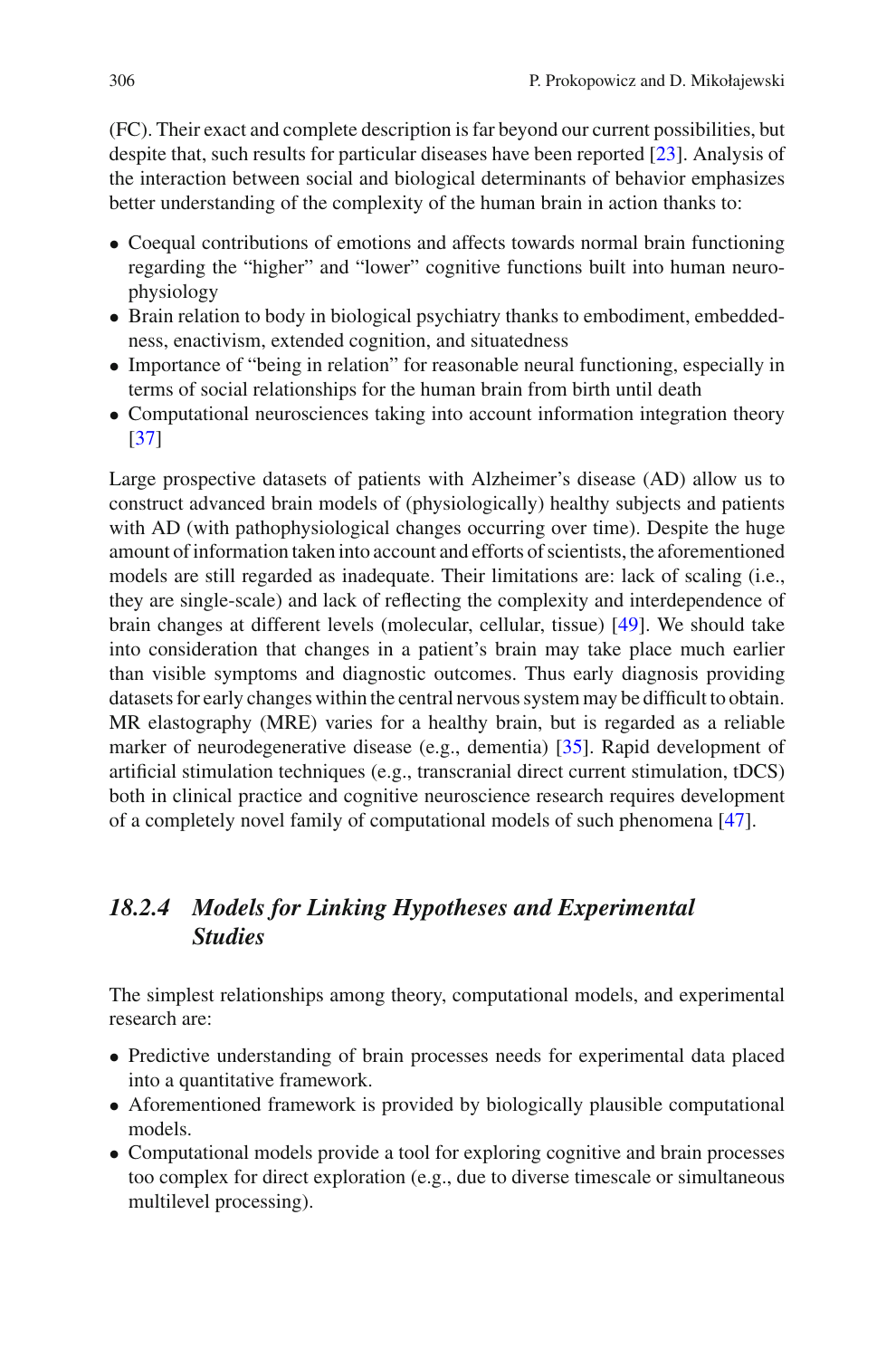(FC). Their exact and complete description is far beyond our current possibilities, but despite that, such results for particular diseases have been reported [\[23\]](#page-16-5). Analysis of the interaction between social and biological determinants of behavior emphasizes better understanding of the complexity of the human brain in action thanks to:

- Coequal contributions of emotions and affects towards normal brain functioning regarding the "higher" and "lower" cognitive functions built into human neurophysiology
- Brain relation to body in biological psychiatry thanks to embodiment, embeddedness, enactivism, extended cognition, and situatedness
- Importance of "being in relation" for reasonable neural functioning, especially in terms of social relationships for the human brain from birth until death
- Computational neurosciences taking into account information integration theory [\[37](#page-17-8)]

Large prospective datasets of patients with Alzheimer's disease (AD) allow us to construct advanced brain models of (physiologically) healthy subjects and patients with AD (with pathophysiological changes occurring over time). Despite the huge amount of information taken into account and efforts of scientists, the aforementioned models are still regarded as inadequate. Their limitations are: lack of scaling (i.e., they are single-scale) and lack of reflecting the complexity and interdependence of brain changes at different levels (molecular, cellular, tissue) [\[49](#page-18-4)]. We should take into consideration that changes in a patient's brain may take place much earlier than visible symptoms and diagnostic outcomes. Thus early diagnosis providing datasets for early changes within the central nervous system may be difficult to obtain. MR elastography (MRE) varies for a healthy brain, but is regarded as a reliable marker of neurodegenerative disease (e.g., dementia) [\[35\]](#page-17-9). Rapid development of artificial stimulation techniques (e.g., transcranial direct current stimulation, tDCS) both in clinical practice and cognitive neuroscience research requires development of a completely novel family of computational models of such phenomena [\[47\]](#page-18-5).

## *18.2.4 Models for Linking Hypotheses and Experimental Studies*

The simplest relationships among theory, computational models, and experimental research are:

- Predictive understanding of brain processes needs for experimental data placed into a quantitative framework.
- Aforementioned framework is provided by biologically plausible computational models.
- Computational models provide a tool for exploring cognitive and brain processes too complex for direct exploration (e.g., due to diverse timescale or simultaneous multilevel processing).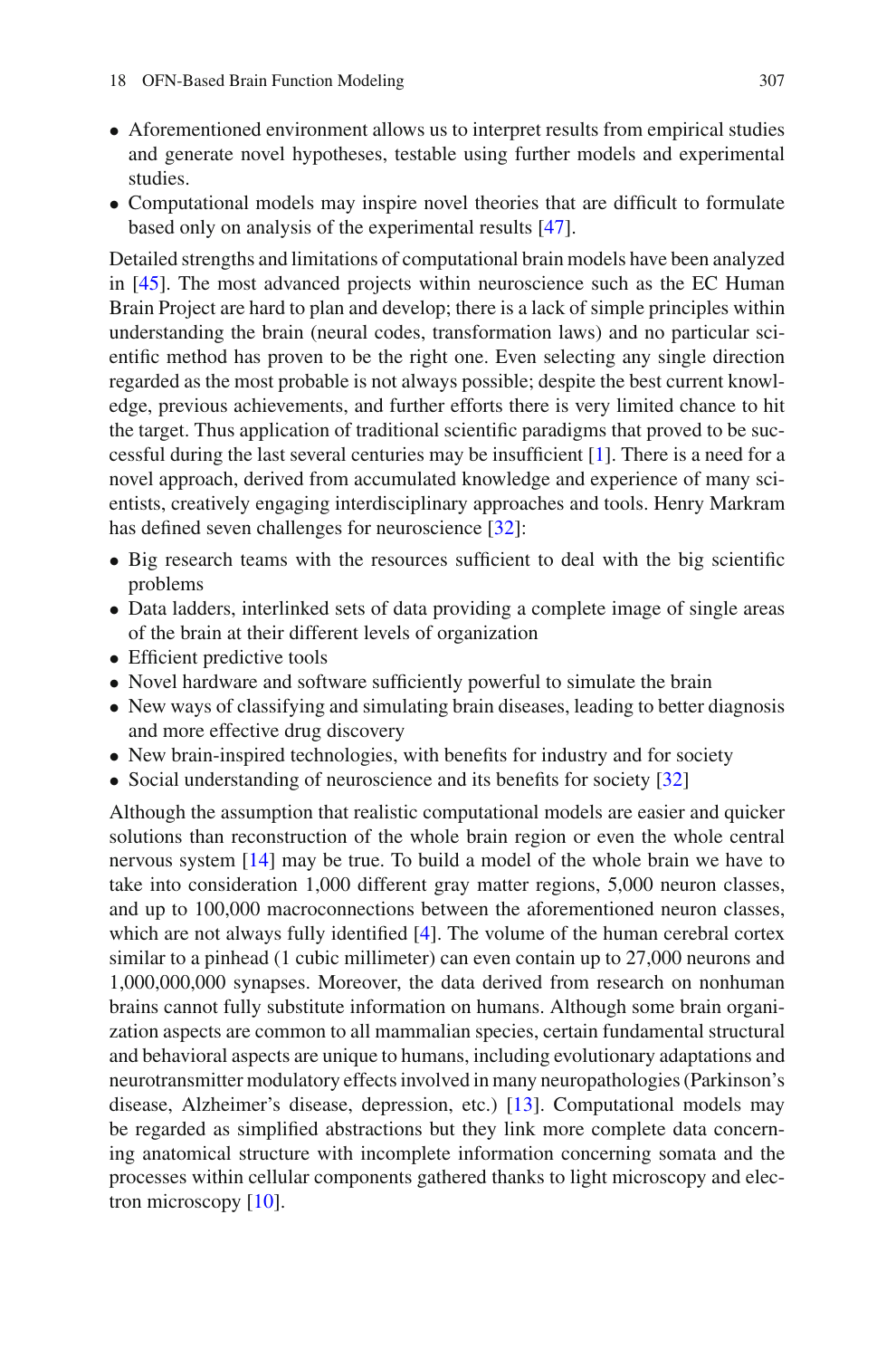- Aforementioned environment allows us to interpret results from empirical studies and generate novel hypotheses, testable using further models and experimental studies.
- Computational models may inspire novel theories that are difficult to formulate based only on analysis of the experimental results [\[47](#page-18-5)].

Detailed strengths and limitations of computational brain models have been analyzed in [\[45](#page-17-6)]. The most advanced projects within neuroscience such as the EC Human Brain Project are hard to plan and develop; there is a lack of simple principles within understanding the brain (neural codes, transformation laws) and no particular scientific method has proven to be the right one. Even selecting any single direction regarded as the most probable is not always possible; despite the best current knowledge, previous achievements, and further efforts there is very limited chance to hit the target. Thus application of traditional scientific paradigms that proved to be successful during the last several centuries may be insufficient  $[1]$ . There is a need for a novel approach, derived from accumulated knowledge and experience of many scientists, creatively engaging interdisciplinary approaches and tools. Henry Markram has defined seven challenges for neuroscience [\[32](#page-17-10)]:

- Big research teams with the resources sufficient to deal with the big scientific problems
- Data ladders, interlinked sets of data providing a complete image of single areas of the brain at their different levels of organization
- Efficient predictive tools
- Novel hardware and software sufficiently powerful to simulate the brain
- New ways of classifying and simulating brain diseases, leading to better diagnosis and more effective drug discovery
- New brain-inspired technologies, with benefits for industry and for society
- Social understanding of neuroscience and its benefits for society [\[32](#page-17-10)]

Although the assumption that realistic computational models are easier and quicker solutions than reconstruction of the whole brain region or even the whole central nervous system [\[14\]](#page-16-6) may be true. To build a model of the whole brain we have to take into consideration 1,000 different gray matter regions, 5,000 neuron classes, and up to 100,000 macroconnections between the aforementioned neuron classes, which are not always fully identified [\[4](#page-15-1)]. The volume of the human cerebral cortex similar to a pinhead (1 cubic millimeter) can even contain up to 27,000 neurons and 1,000,000,000 synapses. Moreover, the data derived from research on nonhuman brains cannot fully substitute information on humans. Although some brain organization aspects are common to all mammalian species, certain fundamental structural and behavioral aspects are unique to humans, including evolutionary adaptations and neurotransmitter modulatory effects involved in many neuropathologies (Parkinson's disease, Alzheimer's disease, depression, etc.) [\[13\]](#page-16-7). Computational models may be regarded as simplified abstractions but they link more complete data concerning anatomical structure with incomplete information concerning somata and the processes within cellular components gathered thanks to light microscopy and electron microscopy [\[10](#page-16-8)].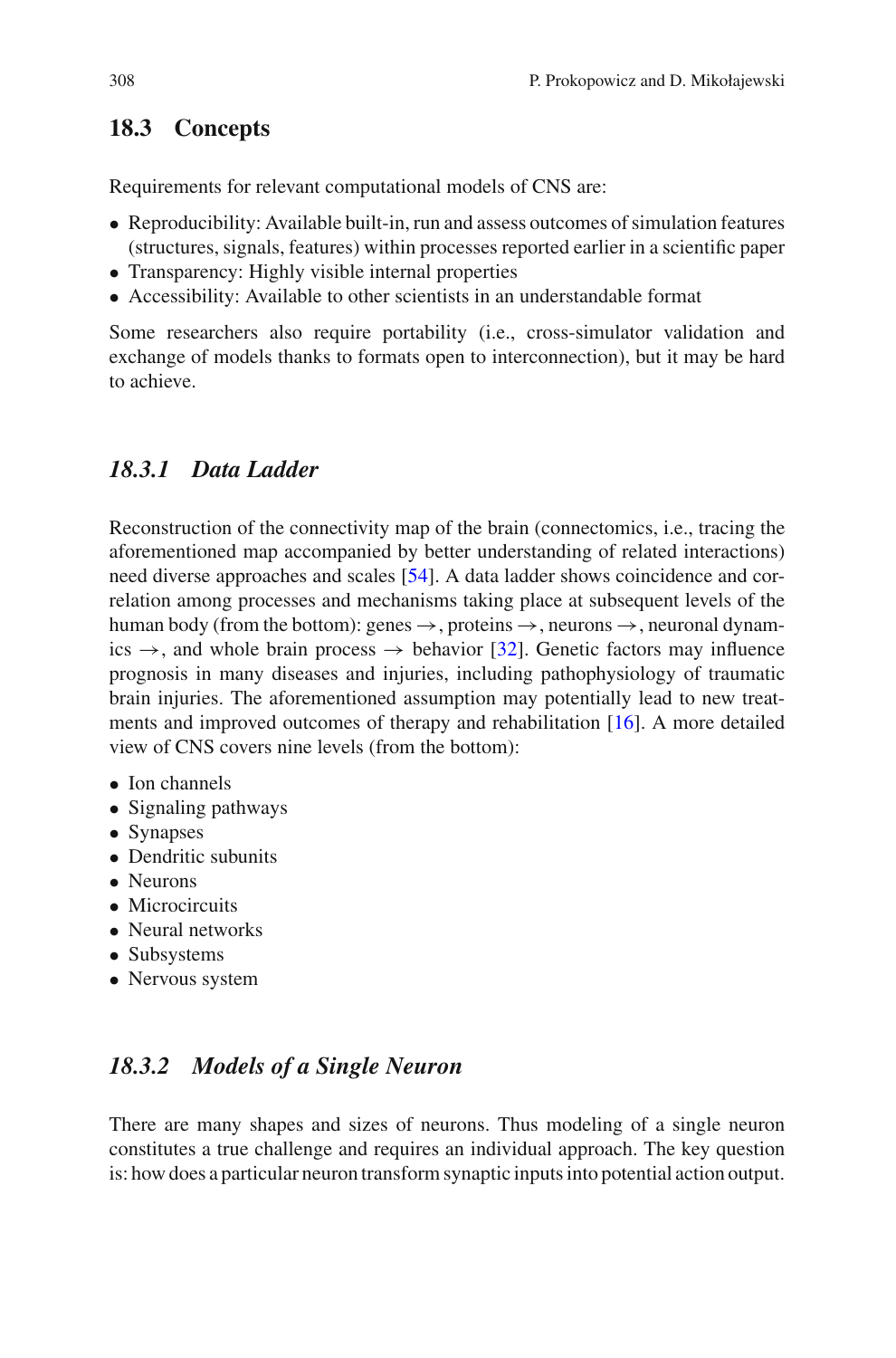## **18.3 Concepts**

Requirements for relevant computational models of CNS are:

- Reproducibility: Available built-in, run and assess outcomes of simulation features (structures, signals, features) within processes reported earlier in a scientific paper
- Transparency: Highly visible internal properties
- Accessibility: Available to other scientists in an understandable format

Some researchers also require portability (i.e., cross-simulator validation and exchange of models thanks to formats open to interconnection), but it may be hard to achieve.

## *18.3.1 Data Ladder*

Reconstruction of the connectivity map of the brain (connectomics, i.e., tracing the aforementioned map accompanied by better understanding of related interactions) need diverse approaches and scales [\[54](#page-18-6)]. A data ladder shows coincidence and correlation among processes and mechanisms taking place at subsequent levels of the human body (from the bottom): genes  $\rightarrow$ , proteins  $\rightarrow$ , neurons  $\rightarrow$ , neuronal dynamics  $\rightarrow$ , and whole brain process  $\rightarrow$  behavior [\[32\]](#page-17-10). Genetic factors may influence prognosis in many diseases and injuries, including pathophysiology of traumatic brain injuries. The aforementioned assumption may potentially lead to new treatments and improved outcomes of therapy and rehabilitation [\[16](#page-16-9)]. A more detailed view of CNS covers nine levels (from the bottom):

- Ion channels
- Signaling pathways
- Synapses
- Dendritic subunits
- Neurons
- Microcircuits
- Neural networks
- Subsystems
- Nervous system

## *18.3.2 Models of a Single Neuron*

There are many shapes and sizes of neurons. Thus modeling of a single neuron constitutes a true challenge and requires an individual approach. The key question is: how does a particular neuron transform synaptic inputs into potential action output.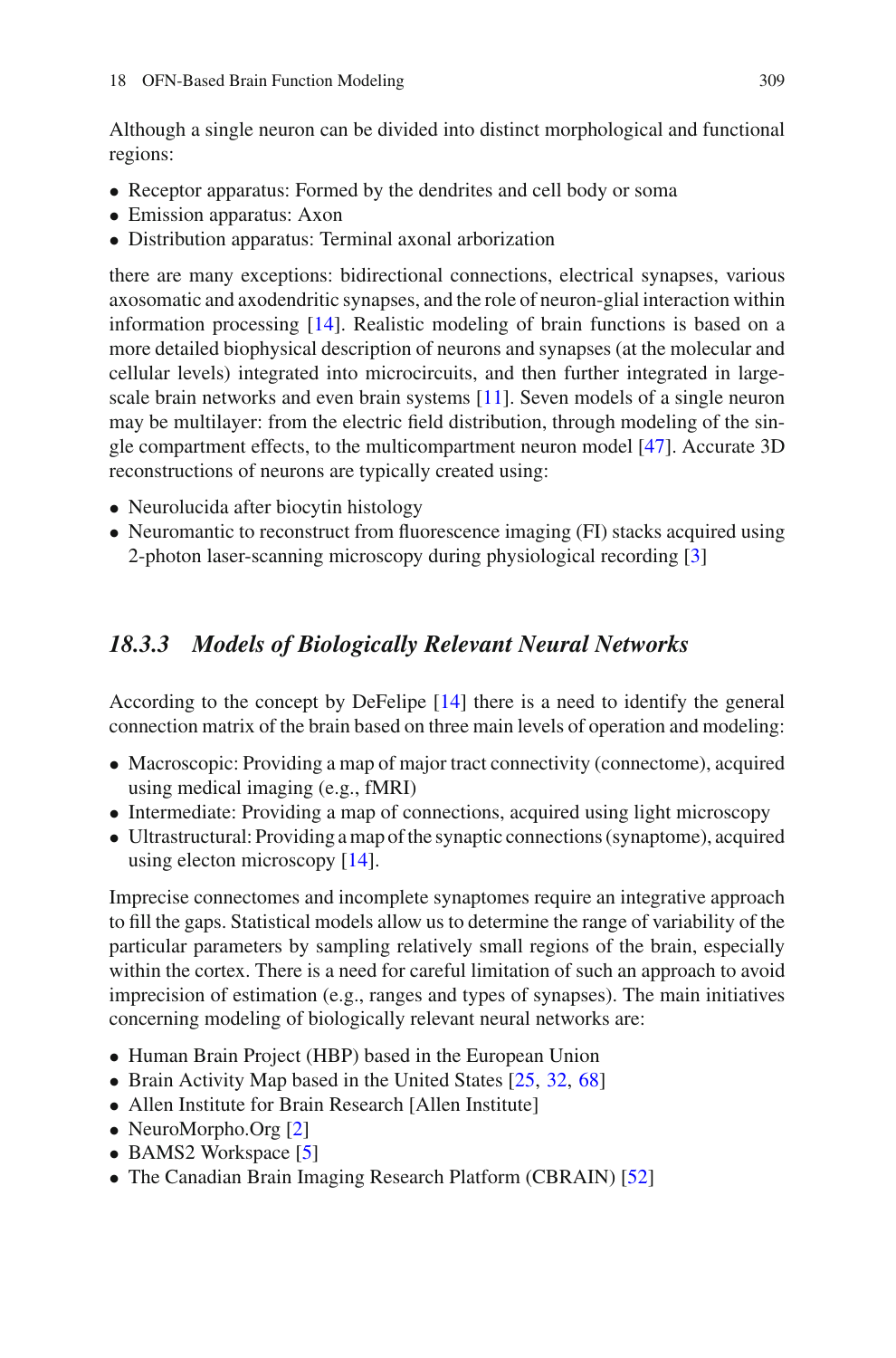Although a single neuron can be divided into distinct morphological and functional regions:

- Receptor apparatus: Formed by the dendrites and cell body or soma
- Emission apparatus: Axon
- Distribution apparatus: Terminal axonal arborization

there are many exceptions: bidirectional connections, electrical synapses, various axosomatic and axodendritic synapses, and the role of neuron-glial interaction within information processing [\[14\]](#page-16-6). Realistic modeling of brain functions is based on a more detailed biophysical description of neurons and synapses (at the molecular and cellular levels) integrated into microcircuits, and then further integrated in largescale brain networks and even brain systems [\[11\]](#page-16-10). Seven models of a single neuron may be multilayer: from the electric field distribution, through modeling of the single compartment effects, to the multicompartment neuron model [\[47](#page-18-5)]. Accurate 3D reconstructions of neurons are typically created using:

- Neurolucida after biocytin histology
- Neuromantic to reconstruct from fluorescence imaging (FI) stacks acquired using 2-photon laser-scanning microscopy during physiological recording [\[3\]](#page-15-2)

## *18.3.3 Models of Biologically Relevant Neural Networks*

According to the concept by DeFelipe [\[14\]](#page-16-6) there is a need to identify the general connection matrix of the brain based on three main levels of operation and modeling:

- Macroscopic: Providing a map of major tract connectivity (connectome), acquired using medical imaging (e.g., fMRI)
- Intermediate: Providing a map of connections, acquired using light microscopy
- Ultrastructural: Providing a map of the synaptic connections (synaptome), acquired using electon microscopy [\[14\]](#page-16-6).

Imprecise connectomes and incomplete synaptomes require an integrative approach to fill the gaps. Statistical models allow us to determine the range of variability of the particular parameters by sampling relatively small regions of the brain, especially within the cortex. There is a need for careful limitation of such an approach to avoid imprecision of estimation (e.g., ranges and types of synapses). The main initiatives concerning modeling of biologically relevant neural networks are:

- Human Brain Project (HBP) based in the European Union
- Brain Activity Map based in the United States [\[25,](#page-16-11) [32](#page-17-10), [68](#page-19-2)]
- Allen Institute for Brain Research [Allen Institute]
- NeuroMorpho.Org [\[2\]](#page-15-3)
- BAMS2 Workspace [\[5](#page-15-4)]
- The Canadian Brain Imaging Research Platform (CBRAIN) [\[52\]](#page-18-7)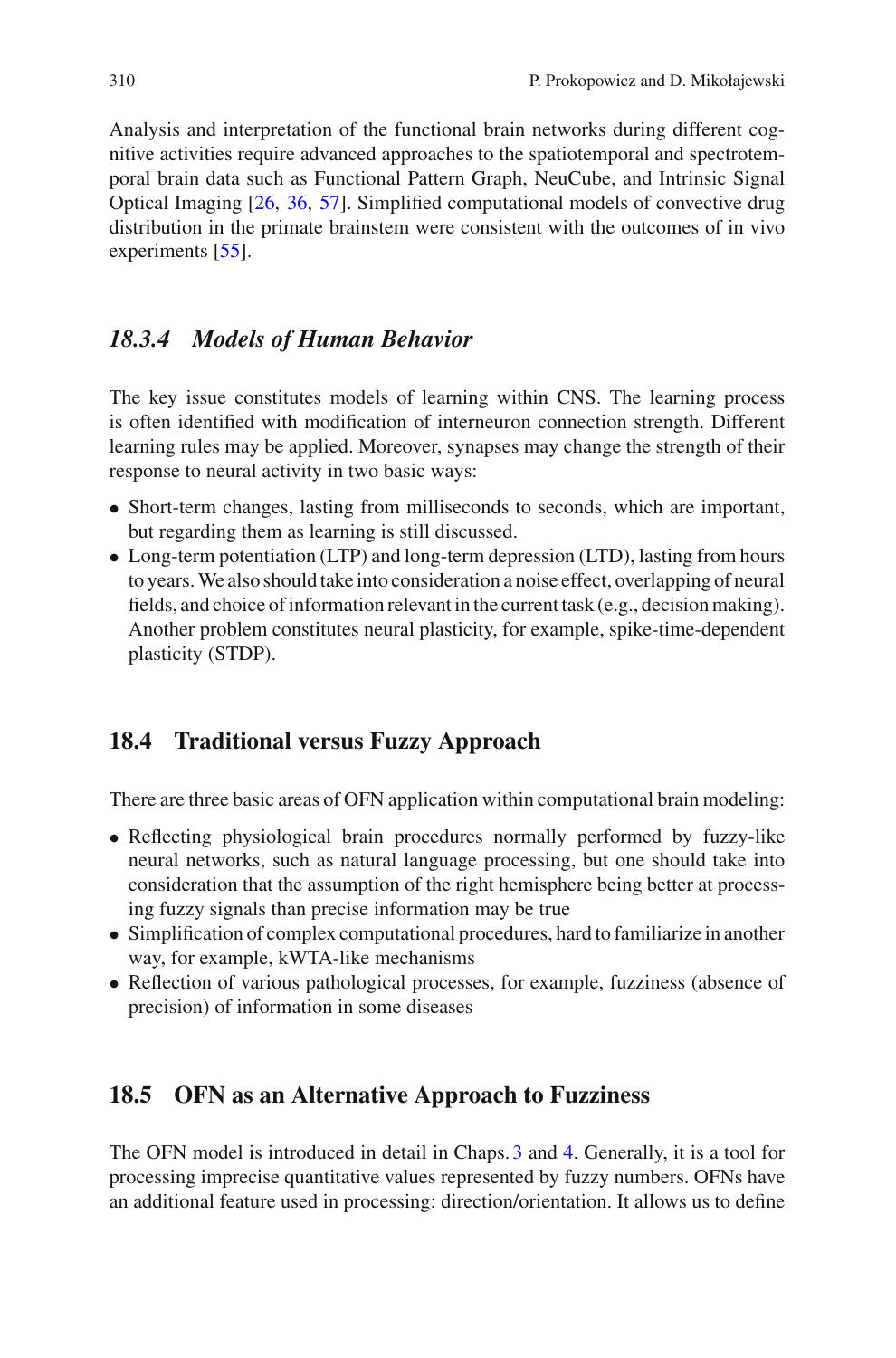Analysis and interpretation of the functional brain networks during different cognitive activities require advanced approaches to the spatiotemporal and spectrotemporal brain data such as Functional Pattern Graph, NeuCube, and Intrinsic Signal Optical Imaging [\[26,](#page-16-12) [36,](#page-17-11) [57\]](#page-18-8). Simplified computational models of convective drug distribution in the primate brainstem were consistent with the outcomes of in vivo experiments [\[55\]](#page-18-9).

## *18.3.4 Models of Human Behavior*

The key issue constitutes models of learning within CNS. The learning process is often identified with modification of interneuron connection strength. Different learning rules may be applied. Moreover, synapses may change the strength of their response to neural activity in two basic ways:

- Short-term changes, lasting from milliseconds to seconds, which are important, but regarding them as learning is still discussed.
- Long-term potentiation (LTP) and long-term depression (LTD), lasting from hours to years.We also should take into consideration a noise effect, overlapping of neural fields, and choice of information relevant in the current task (e.g., decision making). Another problem constitutes neural plasticity, for example, spike-time-dependent plasticity (STDP).

## **18.4 Traditional versus Fuzzy Approach**

There are three basic areas of OFN application within computational brain modeling:

- Reflecting physiological brain procedures normally performed by fuzzy-like neural networks, such as natural language processing, but one should take into consideration that the assumption of the right hemisphere being better at processing fuzzy signals than precise information may be true
- Simplification of complex computational procedures, hard to familiarize in another way, for example, kWTA-like mechanisms
- Reflection of various pathological processes, for example, fuzziness (absence of precision) of information in some diseases

## **18.5 OFN as an Alternative Approach to Fuzziness**

The OFN model is introduced in detail in Chaps. [3](http://dx.doi.org/10.1007/978-3-319-59614-3_3) and [4.](http://dx.doi.org/10.1007/978-3-319-59614-3_4) Generally, it is a tool for processing imprecise quantitative values represented by fuzzy numbers. OFNs have an additional feature used in processing: direction/orientation. It allows us to define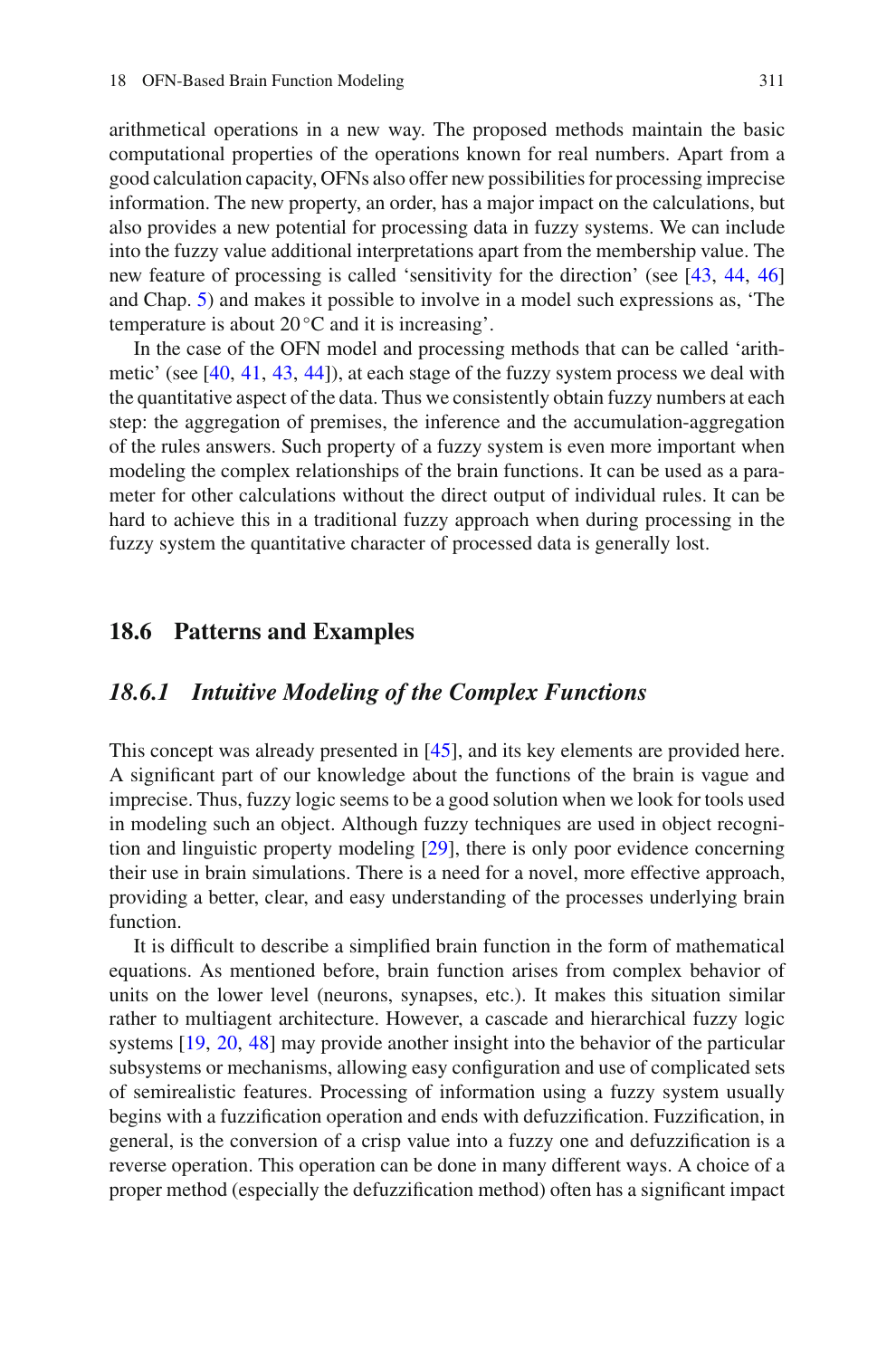arithmetical operations in a new way. The proposed methods maintain the basic computational properties of the operations known for real numbers. Apart from a good calculation capacity, OFNs also offer new possibilities for processing imprecise information. The new property, an order, has a major impact on the calculations, but also provides a new potential for processing data in fuzzy systems. We can include into the fuzzy value additional interpretations apart from the membership value. The new feature of processing is called 'sensitivity for the direction' (see [\[43](#page-17-12), [44,](#page-17-13) [46\]](#page-18-10) and Chap. [5\)](http://dx.doi.org/10.1007/978-3-319-59614-3_5) and makes it possible to involve in a model such expressions as, 'The temperature is about  $20^{\circ}$ C and it is increasing'.

In the case of the OFN model and processing methods that can be called 'arithmetic' (see [\[40,](#page-17-14) [41](#page-17-15), [43,](#page-17-12) [44](#page-17-13)]), at each stage of the fuzzy system process we deal with the quantitative aspect of the data. Thus we consistently obtain fuzzy numbers at each step: the aggregation of premises, the inference and the accumulation-aggregation of the rules answers. Such property of a fuzzy system is even more important when modeling the complex relationships of the brain functions. It can be used as a parameter for other calculations without the direct output of individual rules. It can be hard to achieve this in a traditional fuzzy approach when during processing in the fuzzy system the quantitative character of processed data is generally lost.

### **18.6 Patterns and Examples**

#### *18.6.1 Intuitive Modeling of the Complex Functions*

This concept was already presented in [\[45](#page-17-6)], and its key elements are provided here. A significant part of our knowledge about the functions of the brain is vague and imprecise. Thus, fuzzy logic seems to be a good solution when we look for tools used in modeling such an object. Although fuzzy techniques are used in object recognition and linguistic property modeling [\[29\]](#page-17-16), there is only poor evidence concerning their use in brain simulations. There is a need for a novel, more effective approach, providing a better, clear, and easy understanding of the processes underlying brain function.

It is difficult to describe a simplified brain function in the form of mathematical equations. As mentioned before, brain function arises from complex behavior of units on the lower level (neurons, synapses, etc.). It makes this situation similar rather to multiagent architecture. However, a cascade and hierarchical fuzzy logic systems [\[19,](#page-16-3) [20](#page-16-4), [48](#page-18-2)] may provide another insight into the behavior of the particular subsystems or mechanisms, allowing easy configuration and use of complicated sets of semirealistic features. Processing of information using a fuzzy system usually begins with a fuzzification operation and ends with defuzzification. Fuzzification, in general, is the conversion of a crisp value into a fuzzy one and defuzzification is a reverse operation. This operation can be done in many different ways. A choice of a proper method (especially the defuzzification method) often has a significant impact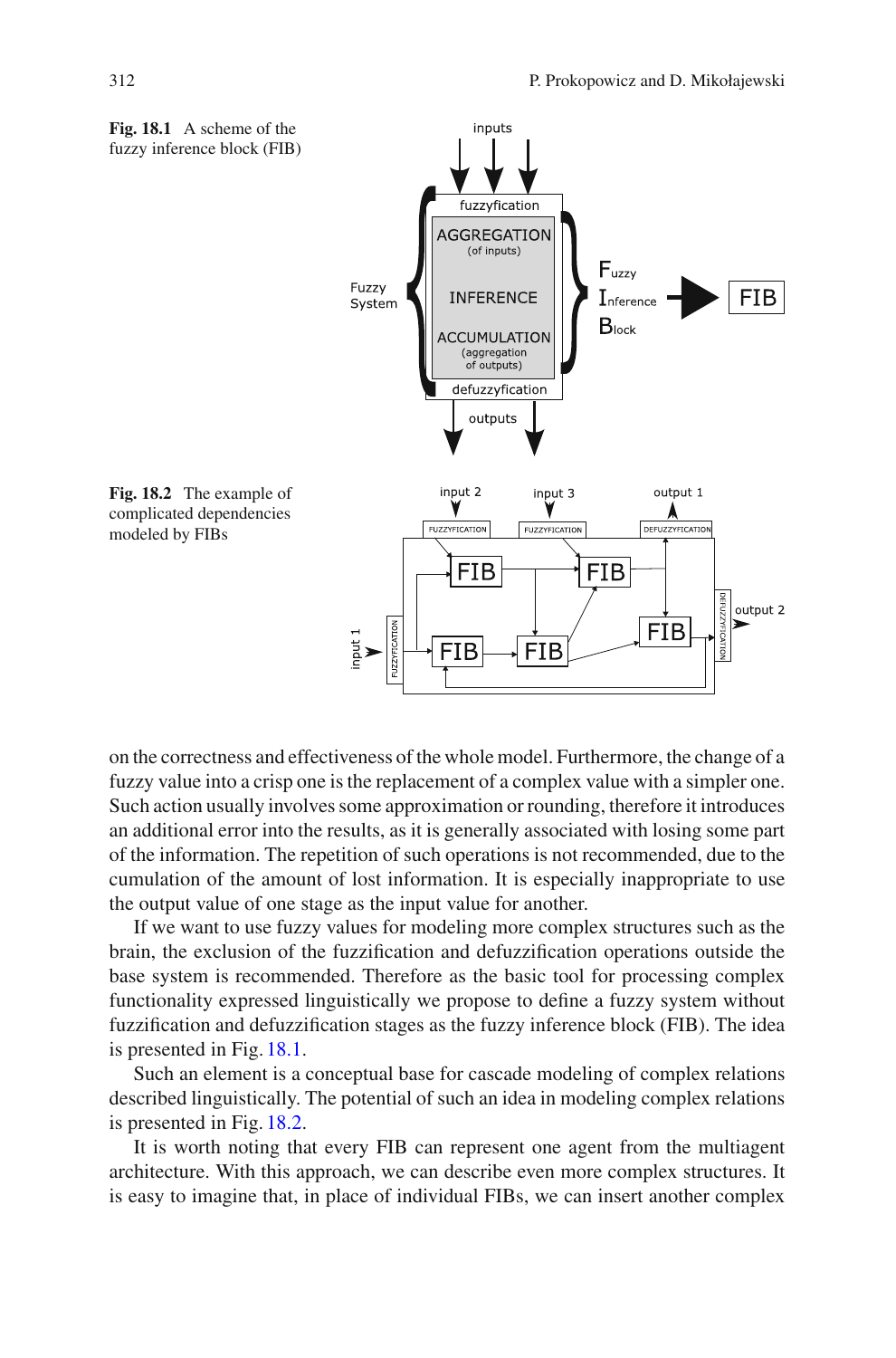<span id="page-9-0"></span>

<span id="page-9-1"></span>on the correctness and effectiveness of the whole model. Furthermore, the change of a fuzzy value into a crisp one is the replacement of a complex value with a simpler one. Such action usually involves some approximation or rounding, therefore it introduces an additional error into the results, as it is generally associated with losing some part of the information. The repetition of such operations is not recommended, due to the cumulation of the amount of lost information. It is especially inappropriate to use the output value of one stage as the input value for another.

If we want to use fuzzy values for modeling more complex structures such as the brain, the exclusion of the fuzzification and defuzzification operations outside the base system is recommended. Therefore as the basic tool for processing complex functionality expressed linguistically we propose to define a fuzzy system without fuzzification and defuzzification stages as the fuzzy inference block (FIB). The idea is presented in Fig. [18.1.](#page-9-0)

Such an element is a conceptual base for cascade modeling of complex relations described linguistically. The potential of such an idea in modeling complex relations is presented in Fig. [18.2.](#page-9-1)

It is worth noting that every FIB can represent one agent from the multiagent architecture. With this approach, we can describe even more complex structures. It is easy to imagine that, in place of individual FIBs, we can insert another complex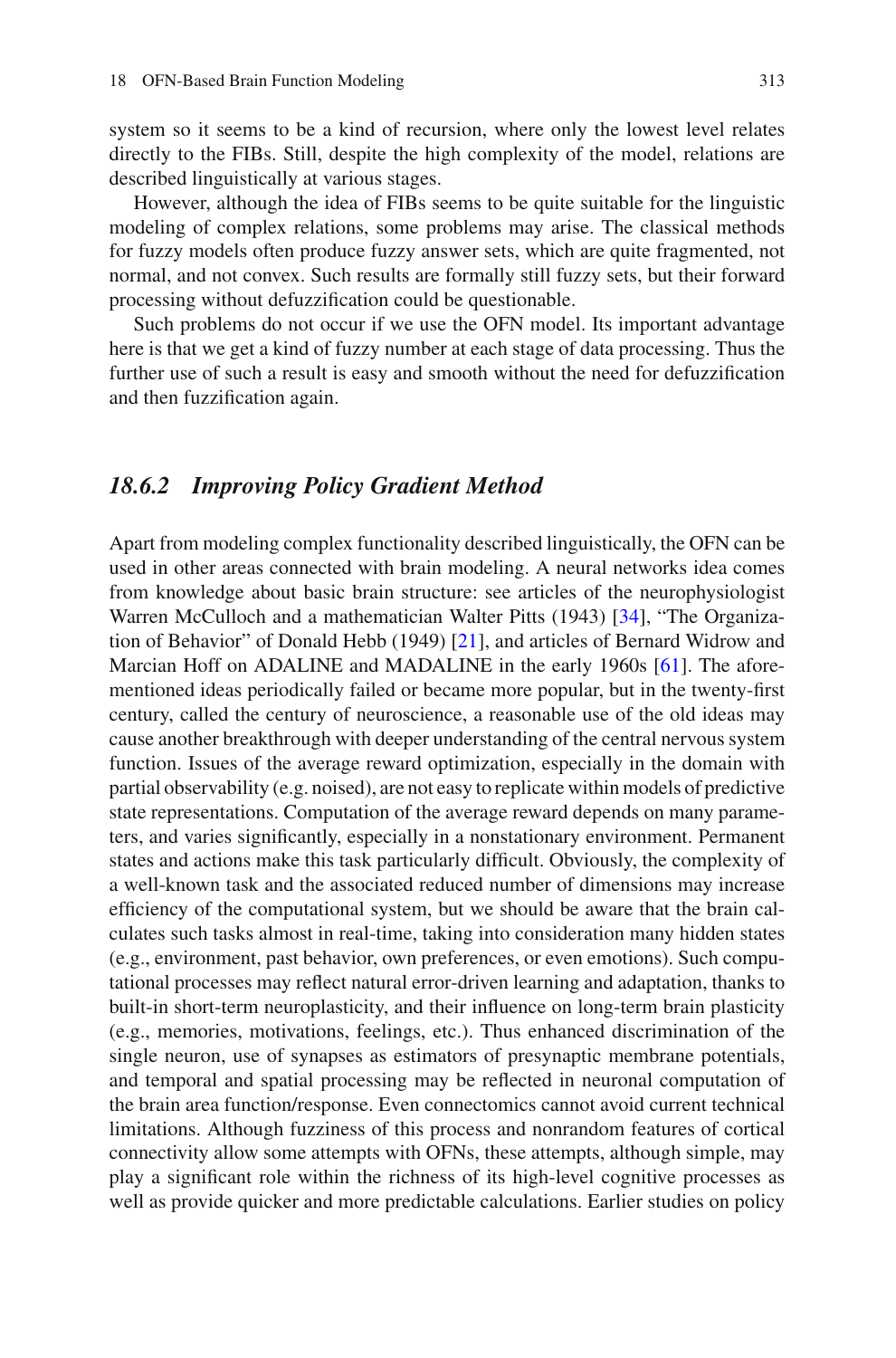system so it seems to be a kind of recursion, where only the lowest level relates directly to the FIBs. Still, despite the high complexity of the model, relations are described linguistically at various stages.

However, although the idea of FIBs seems to be quite suitable for the linguistic modeling of complex relations, some problems may arise. The classical methods for fuzzy models often produce fuzzy answer sets, which are quite fragmented, not normal, and not convex. Such results are formally still fuzzy sets, but their forward processing without defuzzification could be questionable.

Such problems do not occur if we use the OFN model. Its important advantage here is that we get a kind of fuzzy number at each stage of data processing. Thus the further use of such a result is easy and smooth without the need for defuzzification and then fuzzification again.

#### *18.6.2 Improving Policy Gradient Method*

Apart from modeling complex functionality described linguistically, the OFN can be used in other areas connected with brain modeling. A neural networks idea comes from knowledge about basic brain structure: see articles of the neurophysiologist Warren McCulloch and a mathematician Walter Pitts (1943) [\[34\]](#page-17-17), "The Organization of Behavior" of Donald Hebb (1949) [\[21\]](#page-16-13), and articles of Bernard Widrow and Marcian Hoff on ADALINE and MADALINE in the early 1960s [\[61\]](#page-18-11). The aforementioned ideas periodically failed or became more popular, but in the twenty-first century, called the century of neuroscience, a reasonable use of the old ideas may cause another breakthrough with deeper understanding of the central nervous system function. Issues of the average reward optimization, especially in the domain with partial observability (e.g. noised), are not easy to replicate within models of predictive state representations. Computation of the average reward depends on many parameters, and varies significantly, especially in a nonstationary environment. Permanent states and actions make this task particularly difficult. Obviously, the complexity of a well-known task and the associated reduced number of dimensions may increase efficiency of the computational system, but we should be aware that the brain calculates such tasks almost in real-time, taking into consideration many hidden states (e.g., environment, past behavior, own preferences, or even emotions). Such computational processes may reflect natural error-driven learning and adaptation, thanks to built-in short-term neuroplasticity, and their influence on long-term brain plasticity (e.g., memories, motivations, feelings, etc.). Thus enhanced discrimination of the single neuron, use of synapses as estimators of presynaptic membrane potentials, and temporal and spatial processing may be reflected in neuronal computation of the brain area function/response. Even connectomics cannot avoid current technical limitations. Although fuzziness of this process and nonrandom features of cortical connectivity allow some attempts with OFNs, these attempts, although simple, may play a significant role within the richness of its high-level cognitive processes as well as provide quicker and more predictable calculations. Earlier studies on policy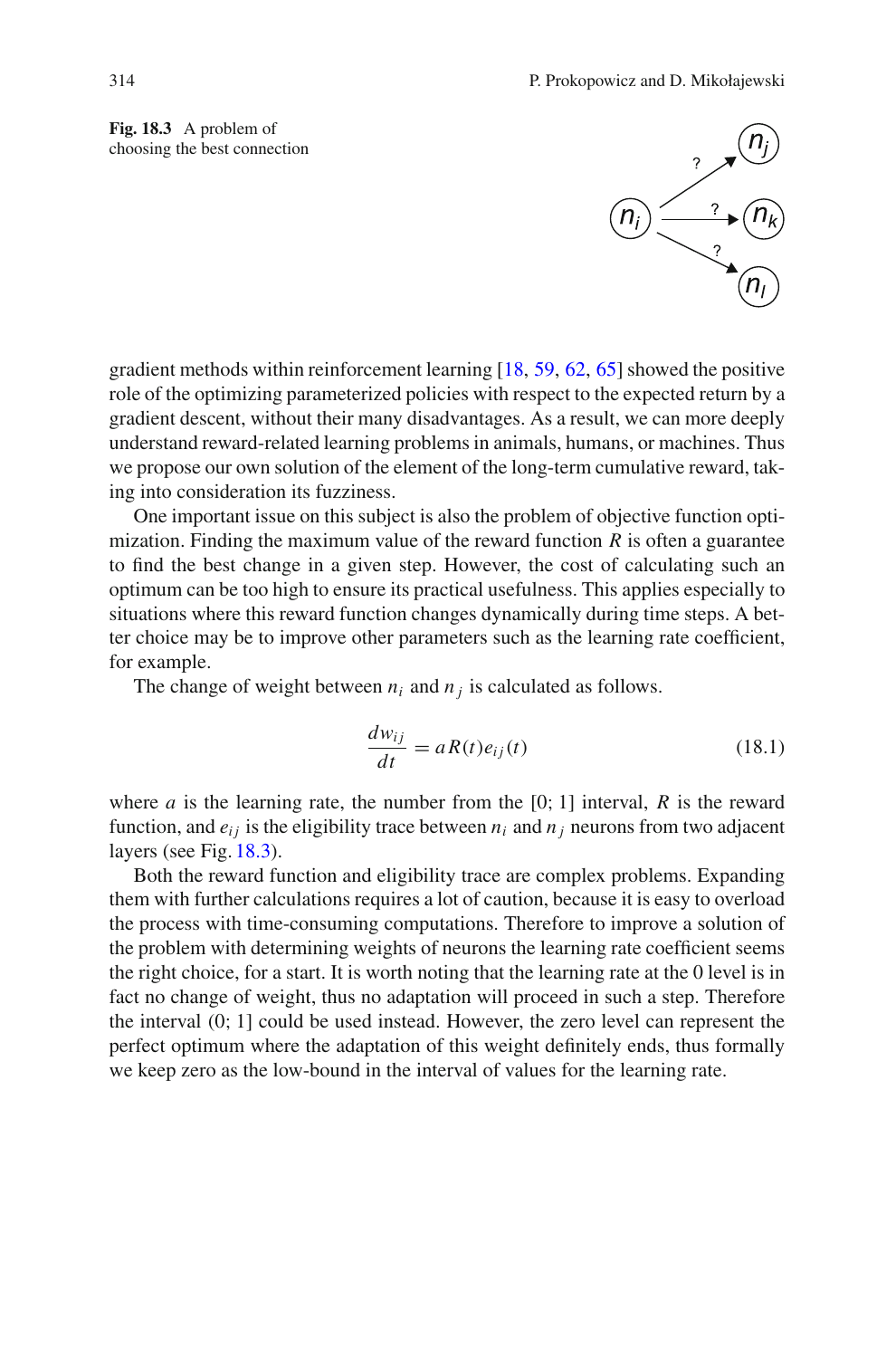<span id="page-11-0"></span>

gradient methods within reinforcement learning [\[18](#page-16-14), [59](#page-18-12), [62](#page-18-13), [65\]](#page-19-3) showed the positive role of the optimizing parameterized policies with respect to the expected return by a gradient descent, without their many disadvantages. As a result, we can more deeply understand reward-related learning problems in animals, humans, or machines. Thus we propose our own solution of the element of the long-term cumulative reward, taking into consideration its fuzziness.

One important issue on this subject is also the problem of objective function optimization. Finding the maximum value of the reward function  $R$  is often a guarantee to find the best change in a given step. However, the cost of calculating such an optimum can be too high to ensure its practical usefulness. This applies especially to situations where this reward function changes dynamically during time steps. A better choice may be to improve other parameters such as the learning rate coefficient, for example.

<span id="page-11-1"></span>The change of weight between  $n_i$  and  $n_j$  is calculated as follows.

$$
\frac{dw_{ij}}{dt} = aR(t)e_{ij}(t)
$$
\n(18.1)

where *a* is the learning rate, the number from the  $[0; 1]$  interval, *R* is the reward function, and  $e_{ij}$  is the eligibility trace between  $n_i$  and  $n_j$  neurons from two adjacent layers (see Fig. [18.3\)](#page-11-0).

Both the reward function and eligibility trace are complex problems. Expanding them with further calculations requires a lot of caution, because it is easy to overload the process with time-consuming computations. Therefore to improve a solution of the problem with determining weights of neurons the learning rate coefficient seems the right choice, for a start. It is worth noting that the learning rate at the 0 level is in fact no change of weight, thus no adaptation will proceed in such a step. Therefore the interval *(*0; 1] could be used instead. However, the zero level can represent the perfect optimum where the adaptation of this weight definitely ends, thus formally we keep zero as the low-bound in the interval of values for the learning rate.

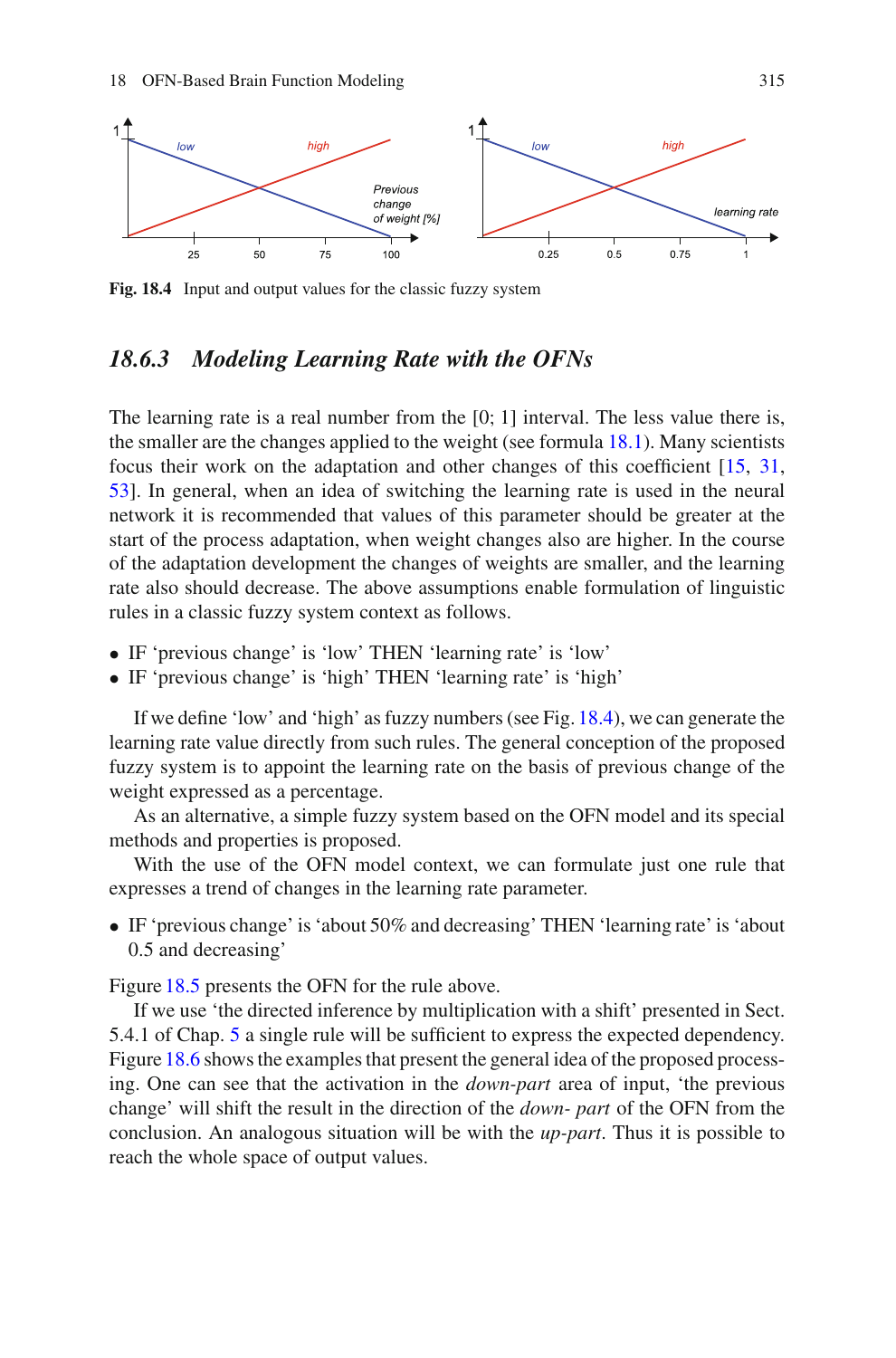

<span id="page-12-1"></span>**Fig. 18.4** Input and output values for the classic fuzzy system

#### <span id="page-12-0"></span>*18.6.3 Modeling Learning Rate with the OFNs*

The learning rate is a real number from the [0; 1] interval. The less value there is, the smaller are the changes applied to the weight (see formula [18.1\)](#page-11-1). Many scientists focus their work on the adaptation and other changes of this coefficient [\[15,](#page-16-15) [31,](#page-17-18) [53\]](#page-18-14). In general, when an idea of switching the learning rate is used in the neural network it is recommended that values of this parameter should be greater at the start of the process adaptation, when weight changes also are higher. In the course of the adaptation development the changes of weights are smaller, and the learning rate also should decrease. The above assumptions enable formulation of linguistic rules in a classic fuzzy system context as follows.

- IF 'previous change' is 'low' THEN 'learning rate' is 'low'
- IF 'previous change' is 'high' THEN 'learning rate' is 'high'

If we define 'low' and 'high' as fuzzy numbers (see Fig. [18.4\)](#page-12-1), we can generate the learning rate value directly from such rules. The general conception of the proposed fuzzy system is to appoint the learning rate on the basis of previous change of the weight expressed as a percentage.

As an alternative, a simple fuzzy system based on the OFN model and its special methods and properties is proposed.

With the use of the OFN model context, we can formulate just one rule that expresses a trend of changes in the learning rate parameter.

• IF 'previous change' is 'about 50% and decreasing' THEN 'learning rate' is 'about 0.5 and decreasing'

Figure [18.5](#page-13-0) presents the OFN for the rule above.

If we use 'the directed inference by multiplication with a shift' presented in Sect. 5.4.1 of Chap. [5](http://dx.doi.org/10.1007/978-3-319-59614-3_5) a single rule will be sufficient to express the expected dependency. Figure [18.6](#page-13-1) shows the examples that present the general idea of the proposed processing. One can see that the activation in the *down-part* area of input, 'the previous change' will shift the result in the direction of the *down- part* of the OFN from the conclusion. An analogous situation will be with the *up-part*. Thus it is possible to reach the whole space of output values.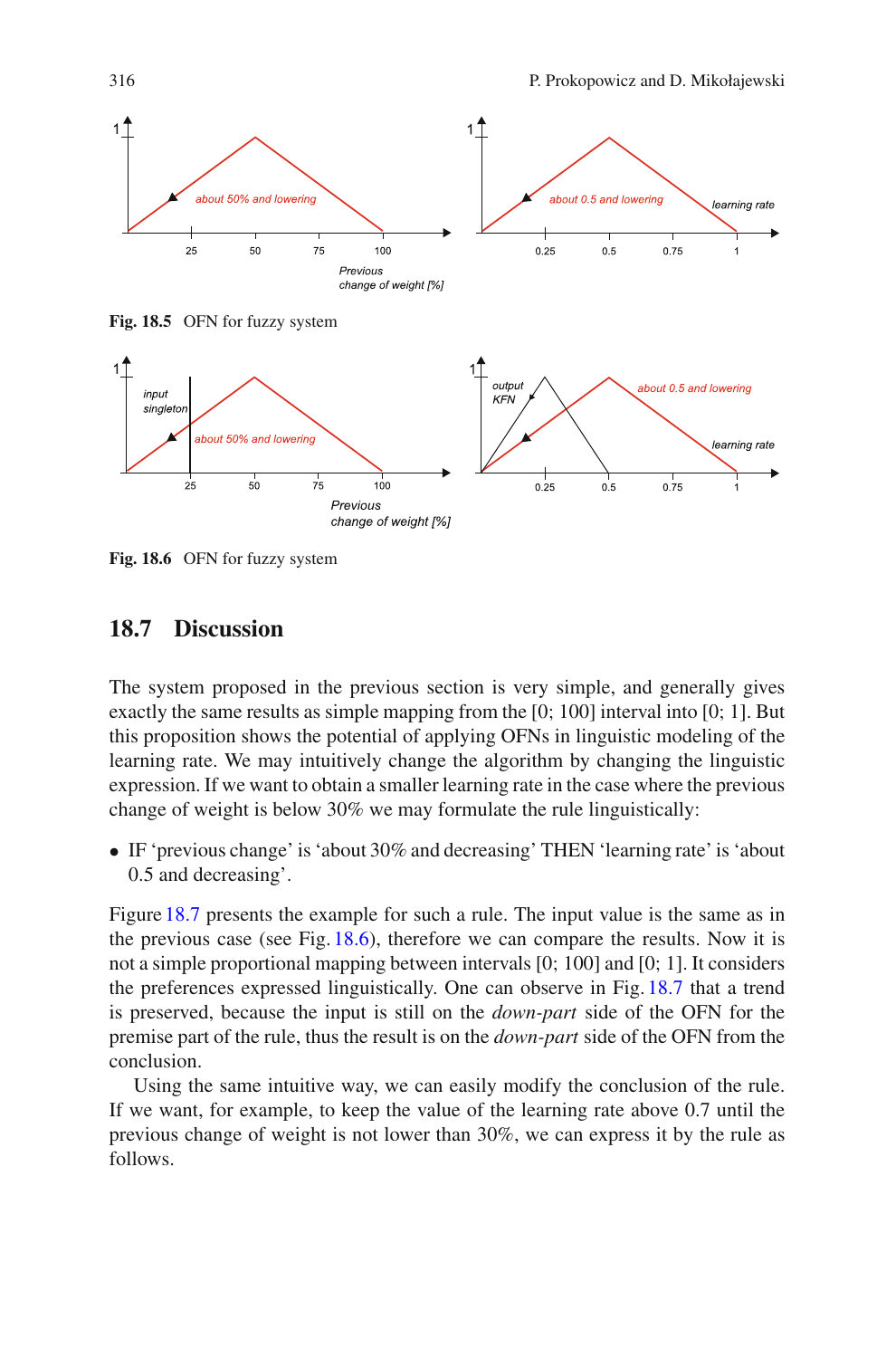learning rate

 $0.75$ 



<span id="page-13-0"></span>

<span id="page-13-1"></span>**Fig. 18.6** OFN for fuzzy system

#### **18.7 Discussion**

The system proposed in the previous section is very simple, and generally gives exactly the same results as simple mapping from the [0; 100] interval into [0; 1]. But this proposition shows the potential of applying OFNs in linguistic modeling of the learning rate. We may intuitively change the algorithm by changing the linguistic expression. If we want to obtain a smaller learning rate in the case where the previous change of weight is below 30% we may formulate the rule linguistically:

• IF 'previous change' is 'about 30% and decreasing' THEN 'learning rate' is 'about 0.5 and decreasing'.

Figure [18.7](#page-14-0) presents the example for such a rule. The input value is the same as in the previous case (see Fig.  $18.6$ ), therefore we can compare the results. Now it is not a simple proportional mapping between intervals [0; 100] and [0; 1]. It considers the preferences expressed linguistically. One can observe in Fig. [18.7](#page-14-0) that a trend is preserved, because the input is still on the *down-part* side of the OFN for the premise part of the rule, thus the result is on the *down-part* side of the OFN from the conclusion.

Using the same intuitive way, we can easily modify the conclusion of the rule. If we want, for example, to keep the value of the learning rate above 0.7 until the previous change of weight is not lower than 30%, we can express it by the rule as follows.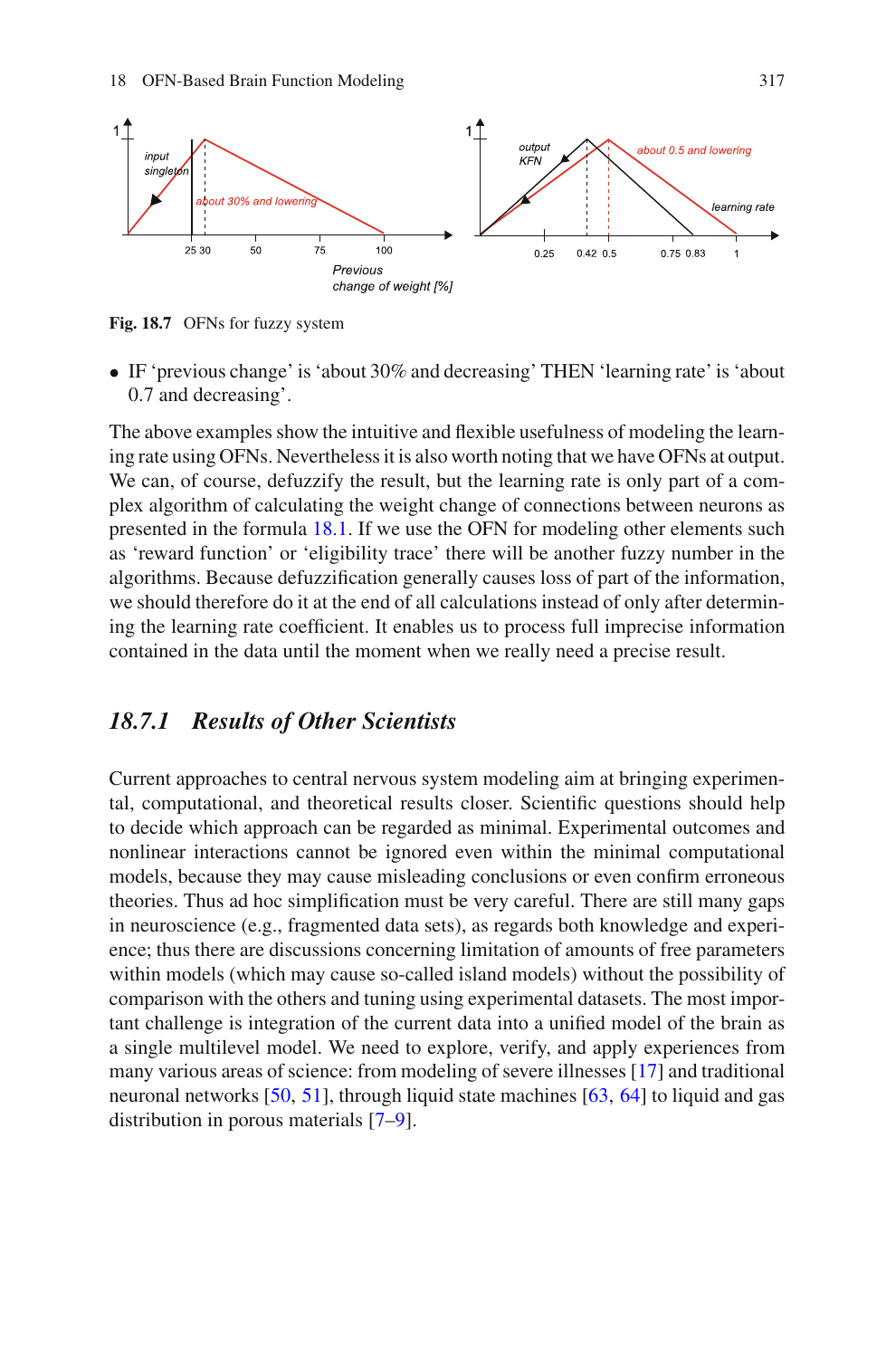

<span id="page-14-0"></span>**Fig. 18.7** OFNs for fuzzy system

• IF 'previous change' is 'about 30% and decreasing' THEN 'learning rate' is 'about 0.7 and decreasing'.

The above examples show the intuitive and flexible usefulness of modeling the learning rate using OFNs. Nevertheless it is also worth noting that we have OFNs at output. We can, of course, defuzzify the result, but the learning rate is only part of a complex algorithm of calculating the weight change of connections between neurons as presented in the formula [18.1.](#page-11-1) If we use the OFN for modeling other elements such as 'reward function' or 'eligibility trace' there will be another fuzzy number in the algorithms. Because defuzzification generally causes loss of part of the information, we should therefore do it at the end of all calculations instead of only after determining the learning rate coefficient. It enables us to process full imprecise information contained in the data until the moment when we really need a precise result.

## *18.7.1 Results of Other Scientists*

Current approaches to central nervous system modeling aim at bringing experimental, computational, and theoretical results closer. Scientific questions should help to decide which approach can be regarded as minimal. Experimental outcomes and nonlinear interactions cannot be ignored even within the minimal computational models, because they may cause misleading conclusions or even confirm erroneous theories. Thus ad hoc simplification must be very careful. There are still many gaps in neuroscience (e.g., fragmented data sets), as regards both knowledge and experience; thus there are discussions concerning limitation of amounts of free parameters within models (which may cause so-called island models) without the possibility of comparison with the others and tuning using experimental datasets. The most important challenge is integration of the current data into a unified model of the brain as a single multilevel model. We need to explore, verify, and apply experiences from many various areas of science: from modeling of severe illnesses [\[17\]](#page-16-16) and traditional neuronal networks [\[50,](#page-18-15) [51](#page-18-16)], through liquid state machines [\[63,](#page-18-17) [64](#page-18-18)] to liquid and gas distribution in porous materials [\[7](#page-16-17)[–9\]](#page-16-18).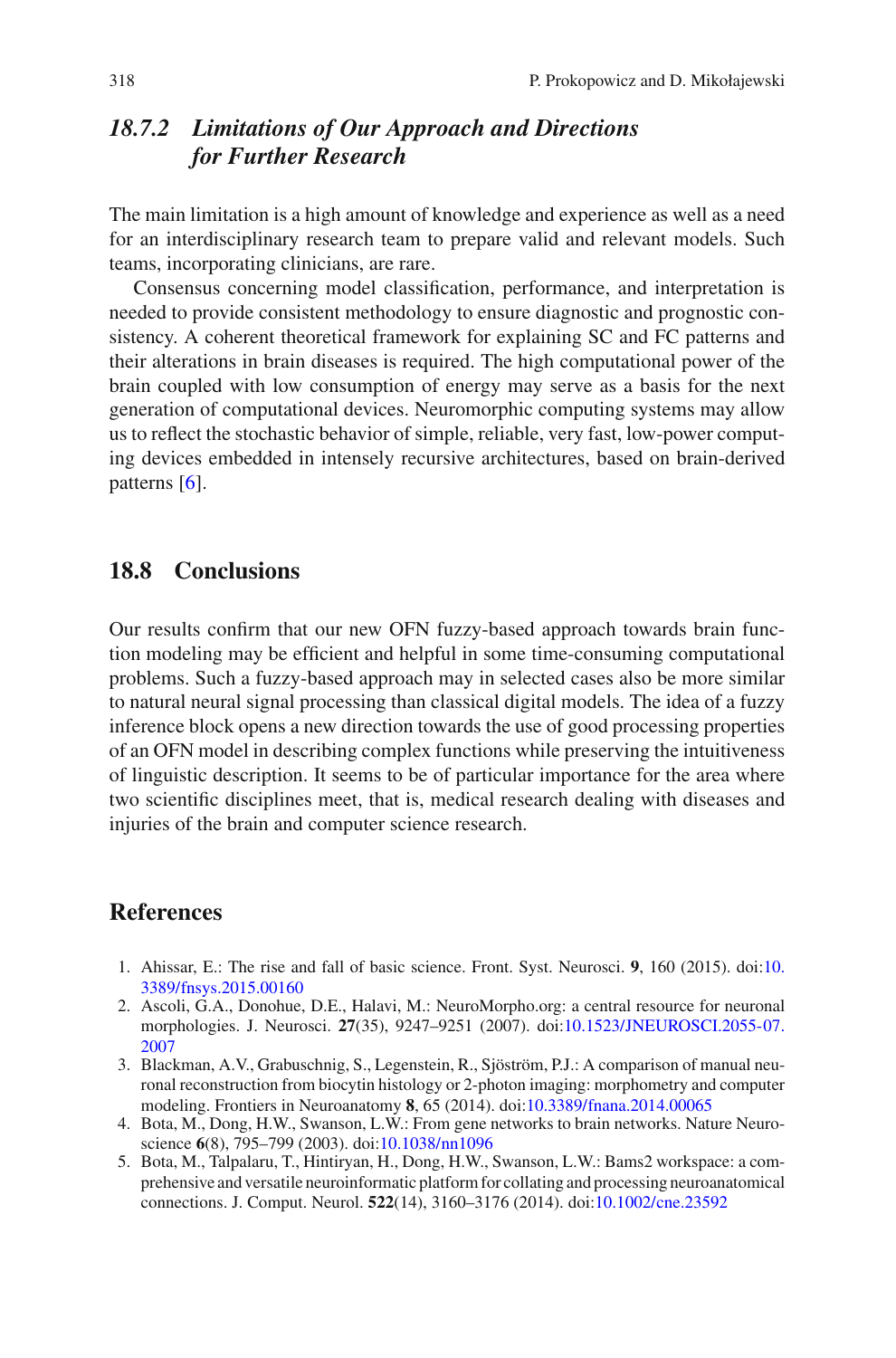## *18.7.2 Limitations of Our Approach and Directions for Further Research*

The main limitation is a high amount of knowledge and experience as well as a need for an interdisciplinary research team to prepare valid and relevant models. Such teams, incorporating clinicians, are rare.

Consensus concerning model classification, performance, and interpretation is needed to provide consistent methodology to ensure diagnostic and prognostic consistency. A coherent theoretical framework for explaining SC and FC patterns and their alterations in brain diseases is required. The high computational power of the brain coupled with low consumption of energy may serve as a basis for the next generation of computational devices. Neuromorphic computing systems may allow us to reflect the stochastic behavior of simple, reliable, very fast, low-power computing devices embedded in intensely recursive architectures, based on brain-derived patterns [\[6\]](#page-16-19).

### **18.8 Conclusions**

Our results confirm that our new OFN fuzzy-based approach towards brain function modeling may be efficient and helpful in some time-consuming computational problems. Such a fuzzy-based approach may in selected cases also be more similar to natural neural signal processing than classical digital models. The idea of a fuzzy inference block opens a new direction towards the use of good processing properties of an OFN model in describing complex functions while preserving the intuitiveness of linguistic description. It seems to be of particular importance for the area where two scientific disciplines meet, that is, medical research dealing with diseases and injuries of the brain and computer science research.

#### **References**

- <span id="page-15-0"></span>1. Ahissar, E.: The rise and fall of basic science. Front. Syst. Neurosci. **9**, 160 (2015). doi[:10.](http://dx.doi.org/10.3389/fnsys.2015.00160) [3389/fnsys.2015.00160](http://dx.doi.org/10.3389/fnsys.2015.00160)
- <span id="page-15-3"></span>2. Ascoli, G.A., Donohue, D.E., Halavi, M.: NeuroMorpho.org: a central resource for neuronal morphologies. J. Neurosci. **27**(35), 9247–9251 (2007). doi[:10.1523/JNEUROSCI.2055-07.](http://dx.doi.org/10.1523/JNEUROSCI.2055-07.2007) [2007](http://dx.doi.org/10.1523/JNEUROSCI.2055-07.2007)
- <span id="page-15-2"></span>3. Blackman, A.V., Grabuschnig, S., Legenstein, R., Sjöström, P.J.: A comparison of manual neuronal reconstruction from biocytin histology or 2-photon imaging: morphometry and computer modeling. Frontiers in Neuroanatomy **8**, 65 (2014). doi[:10.3389/fnana.2014.00065](http://dx.doi.org/10.3389/fnana.2014.00065)
- <span id="page-15-1"></span>4. Bota, M., Dong, H.W., Swanson, L.W.: From gene networks to brain networks. Nature Neuroscience **6**(8), 795–799 (2003). doi[:10.1038/nn1096](http://dx.doi.org/10.1038/nn1096)
- <span id="page-15-4"></span>5. Bota, M., Talpalaru, T., Hintiryan, H., Dong, H.W., Swanson, L.W.: Bams2 workspace: a comprehensive and versatile neuroinformatic platform for collating and processing neuroanatomical connections. J. Comput. Neurol. **522**(14), 3160–3176 (2014). doi[:10.1002/cne.23592](http://dx.doi.org/10.1002/cne.23592)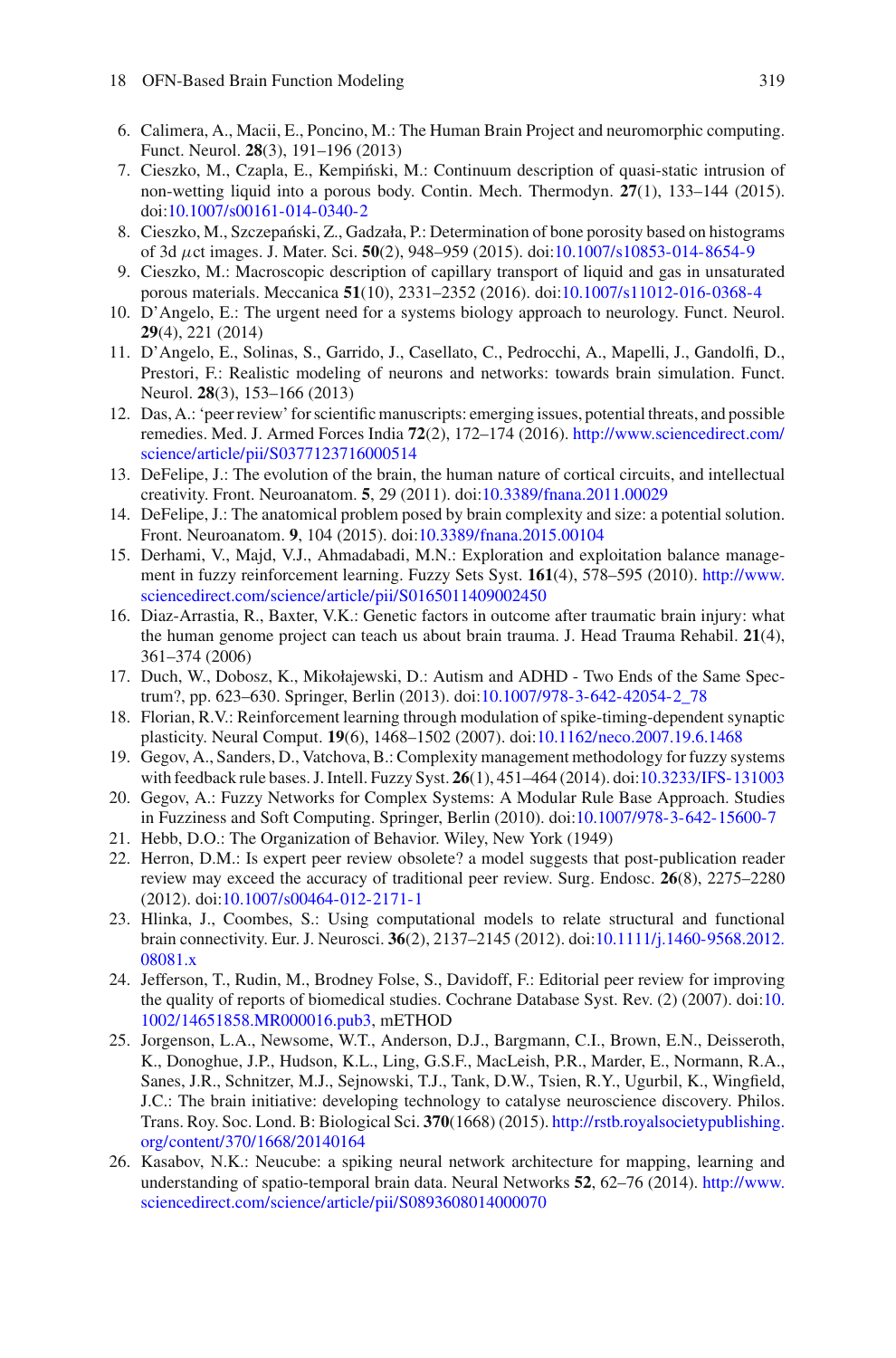- <span id="page-16-19"></span>6. Calimera, A., Macii, E., Poncino, M.: The Human Brain Project and neuromorphic computing. Funct. Neurol. **28**(3), 191–196 (2013)
- <span id="page-16-17"></span>7. Cieszko, M., Czapla, E., Kempiński, M.: Continuum description of quasi-static intrusion of non-wetting liquid into a porous body. Contin. Mech. Thermodyn. **27**(1), 133–144 (2015). doi[:10.1007/s00161-014-0340-2](http://dx.doi.org/10.1007/s00161-014-0340-2)
- 8. Cieszko, M., Szczepański, Z., Gadzała, P.: Determination of bone porosity based on histograms of 3d *µ*ct images. J. Mater. Sci. **50**(2), 948–959 (2015). doi[:10.1007/s10853-014-8654-9](http://dx.doi.org/10.1007/s10853-014-8654-9)
- <span id="page-16-18"></span>9. Cieszko, M.: Macroscopic description of capillary transport of liquid and gas in unsaturated porous materials. Meccanica **51**(10), 2331–2352 (2016). doi[:10.1007/s11012-016-0368-4](http://dx.doi.org/10.1007/s11012-016-0368-4)
- <span id="page-16-8"></span>10. D'Angelo, E.: The urgent need for a systems biology approach to neurology. Funct. Neurol. **29**(4), 221 (2014)
- <span id="page-16-10"></span>11. D'Angelo, E., Solinas, S., Garrido, J., Casellato, C., Pedrocchi, A., Mapelli, J., Gandolfi, D., Prestori, F.: Realistic modeling of neurons and networks: towards brain simulation. Funct. Neurol. **28**(3), 153–166 (2013)
- <span id="page-16-0"></span>12. Das, A.: 'peer review' for scientific manuscripts: emerging issues, potential threats, and possible remedies. Med. J. Armed Forces India **72**(2), 172–174 (2016). [http://www.sciencedirect.com/](http://www.sciencedirect.com/science/article/pii/S0377123716000514) [science/article/pii/S0377123716000514](http://www.sciencedirect.com/science/article/pii/S0377123716000514)
- <span id="page-16-7"></span>13. DeFelipe, J.: The evolution of the brain, the human nature of cortical circuits, and intellectual creativity. Front. Neuroanatom. **5**, 29 (2011). doi[:10.3389/fnana.2011.00029](http://dx.doi.org/10.3389/fnana.2011.00029)
- <span id="page-16-6"></span>14. DeFelipe, J.: The anatomical problem posed by brain complexity and size: a potential solution. Front. Neuroanatom. **9**, 104 (2015). doi[:10.3389/fnana.2015.00104](http://dx.doi.org/10.3389/fnana.2015.00104)
- <span id="page-16-15"></span>15. Derhami, V., Majd, V.J., Ahmadabadi, M.N.: Exploration and exploitation balance management in fuzzy reinforcement learning. Fuzzy Sets Syst. **161**(4), 578–595 (2010). [http://www.](http://www.sciencedirect.com/science/article/pii/S0165011409002450) [sciencedirect.com/science/article/pii/S0165011409002450](http://www.sciencedirect.com/science/article/pii/S0165011409002450)
- <span id="page-16-9"></span>16. Diaz-Arrastia, R., Baxter, V.K.: Genetic factors in outcome after traumatic brain injury: what the human genome project can teach us about brain trauma. J. Head Trauma Rehabil. **21**(4), 361–374 (2006)
- <span id="page-16-16"></span>17. Duch, W., Dobosz, K., Mikołajewski, D.: Autism and ADHD - Two Ends of the Same Spectrum?, pp. 623–630. Springer, Berlin (2013). doi[:10.1007/978-3-642-42054-2\\_78](http://dx.doi.org/10.1007/978-3-642-42054-2_78)
- <span id="page-16-14"></span>18. Florian, R.V.: Reinforcement learning through modulation of spike-timing-dependent synaptic plasticity. Neural Comput. **19**(6), 1468–1502 (2007). doi[:10.1162/neco.2007.19.6.1468](http://dx.doi.org/10.1162/neco.2007.19.6.1468)
- <span id="page-16-3"></span>19. Gegov, A., Sanders, D., Vatchova, B.: Complexity management methodology for fuzzy systems with feedback rule bases. J. Intell. Fuzzy Syst. **26**(1), 451–464 (2014). doi[:10.3233/IFS-131003](http://dx.doi.org/10.3233/IFS-131003)
- <span id="page-16-4"></span>20. Gegov, A.: Fuzzy Networks for Complex Systems: A Modular Rule Base Approach. Studies in Fuzziness and Soft Computing. Springer, Berlin (2010). doi[:10.1007/978-3-642-15600-7](http://dx.doi.org/10.1007/978-3-642-15600-7)
- <span id="page-16-13"></span>21. Hebb, D.O.: The Organization of Behavior. Wiley, New York (1949)
- <span id="page-16-1"></span>22. Herron, D.M.: Is expert peer review obsolete? a model suggests that post-publication reader review may exceed the accuracy of traditional peer review. Surg. Endosc. **26**(8), 2275–2280 (2012). doi[:10.1007/s00464-012-2171-1](http://dx.doi.org/10.1007/s00464-012-2171-1)
- <span id="page-16-5"></span>23. Hlinka, J., Coombes, S.: Using computational models to relate structural and functional brain connectivity. Eur. J. Neurosci. **36**(2), 2137–2145 (2012). doi[:10.1111/j.1460-9568.2012.](http://dx.doi.org/10.1111/j.1460-9568.2012.08081.x) [08081.x](http://dx.doi.org/10.1111/j.1460-9568.2012.08081.x)
- <span id="page-16-2"></span>24. Jefferson, T., Rudin, M., Brodney Folse, S., Davidoff, F.: Editorial peer review for improving the quality of reports of biomedical studies. Cochrane Database Syst. Rev. (2) (2007). doi[:10.](http://dx.doi.org/10.1002/14651858.MR000016.pub3) [1002/14651858.MR000016.pub3,](http://dx.doi.org/10.1002/14651858.MR000016.pub3) mETHOD
- <span id="page-16-11"></span>25. Jorgenson, L.A., Newsome, W.T., Anderson, D.J., Bargmann, C.I., Brown, E.N., Deisseroth, K., Donoghue, J.P., Hudson, K.L., Ling, G.S.F., MacLeish, P.R., Marder, E., Normann, R.A., Sanes, J.R., Schnitzer, M.J., Sejnowski, T.J., Tank, D.W., Tsien, R.Y., Ugurbil, K., Wingfield, J.C.: The brain initiative: developing technology to catalyse neuroscience discovery. Philos. Trans. Roy. Soc. Lond. B: Biological Sci. **370**(1668) (2015). [http://rstb.royalsocietypublishing.](http://rstb.royalsocietypublishing.org/content/370/1668/20140164) [org/content/370/1668/20140164](http://rstb.royalsocietypublishing.org/content/370/1668/20140164)
- <span id="page-16-12"></span>26. Kasabov, N.K.: Neucube: a spiking neural network architecture for mapping, learning and understanding of spatio-temporal brain data. Neural Networks **52**, 62–76 (2014). [http://www.](http://www.sciencedirect.com/science/article/pii/S0893608014000070) [sciencedirect.com/science/article/pii/S0893608014000070](http://www.sciencedirect.com/science/article/pii/S0893608014000070)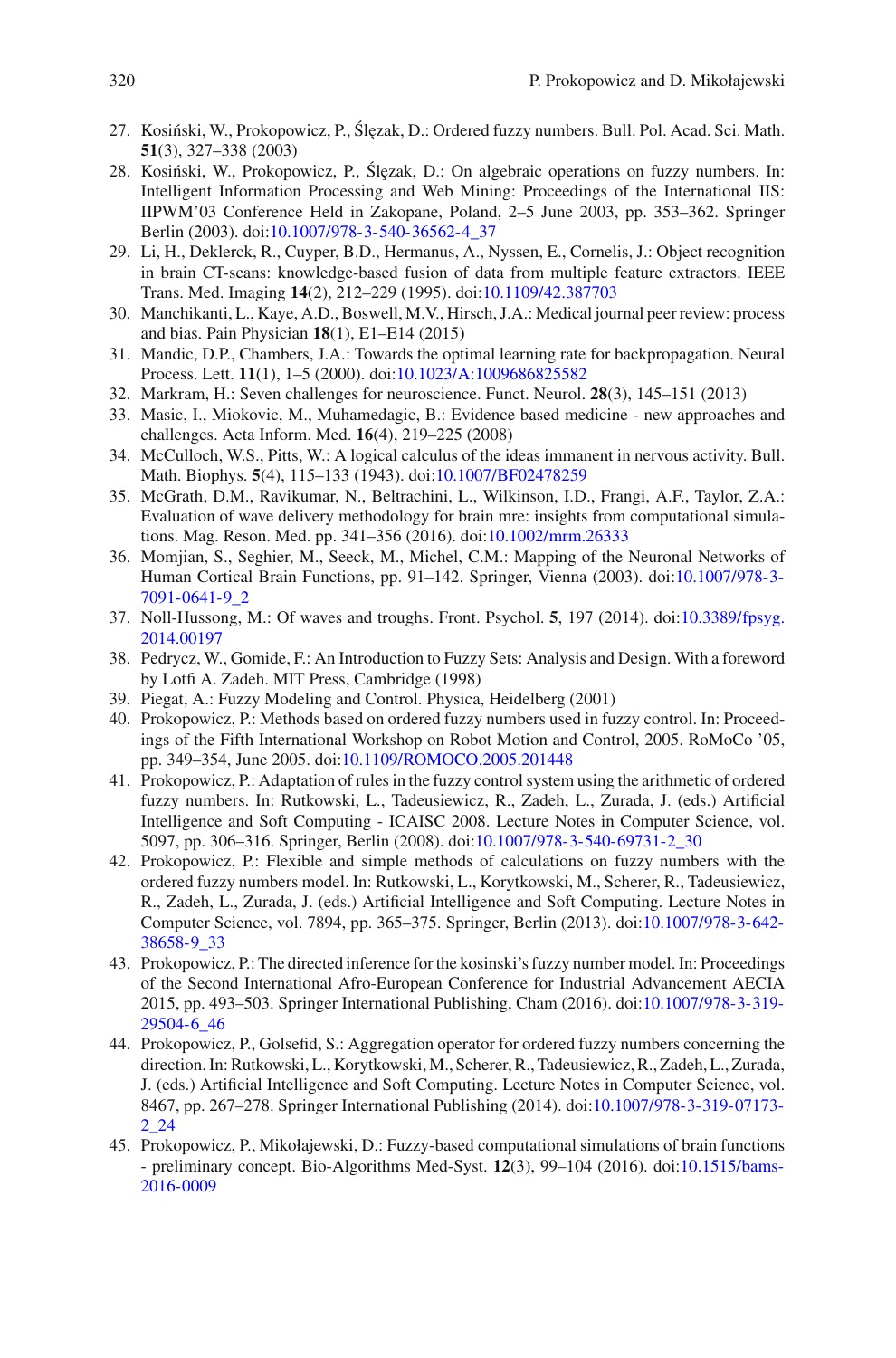- <span id="page-17-3"></span>27. Kosiński, W., Prokopowicz, P., Ślęzak, D.: Ordered fuzzy numbers. Bull. Pol. Acad. Sci. Math. **51**(3), 327–338 (2003)
- <span id="page-17-4"></span>28. Kosiński, W., Prokopowicz, P., Ślęzak, D.: On algebraic operations on fuzzy numbers. In: Intelligent Information Processing and Web Mining: Proceedings of the International IIS: IIPWM'03 Conference Held in Zakopane, Poland, 2–5 June 2003, pp. 353–362. Springer Berlin (2003). doi[:10.1007/978-3-540-36562-4\\_37](http://dx.doi.org/10.1007/978-3-540-36562-4_37)
- <span id="page-17-16"></span>29. Li, H., Deklerck, R., Cuyper, B.D., Hermanus, A., Nyssen, E., Cornelis, J.: Object recognition in brain CT-scans: knowledge-based fusion of data from multiple feature extractors. IEEE Trans. Med. Imaging **14**(2), 212–229 (1995). doi[:10.1109/42.387703](http://dx.doi.org/10.1109/42.387703)
- <span id="page-17-0"></span>30. Manchikanti, L., Kaye, A.D., Boswell, M.V., Hirsch, J.A.: Medical journal peer review: process and bias. Pain Physician **18**(1), E1–E14 (2015)
- <span id="page-17-18"></span>31. Mandic, D.P., Chambers, J.A.: Towards the optimal learning rate for backpropagation. Neural Process. Lett. **11**(1), 1–5 (2000). doi[:10.1023/A:1009686825582](http://dx.doi.org/10.1023/A:1009686825582)
- <span id="page-17-10"></span>32. Markram, H.: Seven challenges for neuroscience. Funct. Neurol. **28**(3), 145–151 (2013)
- <span id="page-17-7"></span>33. Masic, I., Miokovic, M., Muhamedagic, B.: Evidence based medicine - new approaches and challenges. Acta Inform. Med. **16**(4), 219–225 (2008)
- <span id="page-17-17"></span>34. McCulloch, W.S., Pitts, W.: A logical calculus of the ideas immanent in nervous activity. Bull. Math. Biophys. **5**(4), 115–133 (1943). doi[:10.1007/BF02478259](http://dx.doi.org/10.1007/BF02478259)
- <span id="page-17-9"></span>35. McGrath, D.M., Ravikumar, N., Beltrachini, L., Wilkinson, I.D., Frangi, A.F., Taylor, Z.A.: Evaluation of wave delivery methodology for brain mre: insights from computational simulations. Mag. Reson. Med. pp. 341–356 (2016). doi[:10.1002/mrm.26333](http://dx.doi.org/10.1002/mrm.26333)
- <span id="page-17-11"></span>36. Momjian, S., Seghier, M., Seeck, M., Michel, C.M.: Mapping of the Neuronal Networks of Human Cortical Brain Functions, pp. 91–142. Springer, Vienna (2003). doi[:10.1007/978-3-](http://dx.doi.org/10.1007/978-3-7091-0641-9_2) [7091-0641-9\\_2](http://dx.doi.org/10.1007/978-3-7091-0641-9_2)
- <span id="page-17-8"></span>37. Noll-Hussong, M.: Of waves and troughs. Front. Psychol. **5**, 197 (2014). doi[:10.3389/fpsyg.](http://dx.doi.org/10.3389/fpsyg.2014.00197) [2014.00197](http://dx.doi.org/10.3389/fpsyg.2014.00197)
- <span id="page-17-1"></span>38. Pedrycz, W., Gomide, F.: An Introduction to Fuzzy Sets: Analysis and Design. With a foreword by Lotfi A. Zadeh. MIT Press, Cambridge (1998)
- <span id="page-17-2"></span>39. Piegat, A.: Fuzzy Modeling and Control. Physica, Heidelberg (2001)
- <span id="page-17-14"></span>40. Prokopowicz, P.: Methods based on ordered fuzzy numbers used in fuzzy control. In: Proceedings of the Fifth International Workshop on Robot Motion and Control, 2005. RoMoCo '05, pp. 349–354, June 2005. doi[:10.1109/ROMOCO.2005.201448](http://dx.doi.org/10.1109/ROMOCO.2005.201448)
- <span id="page-17-15"></span>41. Prokopowicz, P.: Adaptation of rules in the fuzzy control system using the arithmetic of ordered fuzzy numbers. In: Rutkowski, L., Tadeusiewicz, R., Zadeh, L., Zurada, J. (eds.) Artificial Intelligence and Soft Computing - ICAISC 2008. Lecture Notes in Computer Science, vol. 5097, pp. 306–316. Springer, Berlin (2008). doi[:10.1007/978-3-540-69731-2\\_30](http://dx.doi.org/10.1007/978-3-540-69731-2_30)
- <span id="page-17-5"></span>42. Prokopowicz, P.: Flexible and simple methods of calculations on fuzzy numbers with the ordered fuzzy numbers model. In: Rutkowski, L., Korytkowski, M., Scherer, R., Tadeusiewicz, R., Zadeh, L., Zurada, J. (eds.) Artificial Intelligence and Soft Computing. Lecture Notes in Computer Science, vol. 7894, pp. 365–375. Springer, Berlin (2013). doi[:10.1007/978-3-642-](http://dx.doi.org/10.1007/978-3-642-38658-9_33) [38658-9\\_33](http://dx.doi.org/10.1007/978-3-642-38658-9_33)
- <span id="page-17-12"></span>43. Prokopowicz, P.: The directed inference for the kosinski's fuzzy number model. In: Proceedings of the Second International Afro-European Conference for Industrial Advancement AECIA 2015, pp. 493–503. Springer International Publishing, Cham (2016). doi[:10.1007/978-3-319-](http://dx.doi.org/10.1007/978-3-319-29504-6_46) [29504-6\\_46](http://dx.doi.org/10.1007/978-3-319-29504-6_46)
- <span id="page-17-13"></span>44. Prokopowicz, P., Golsefid, S.: Aggregation operator for ordered fuzzy numbers concerning the direction. In: Rutkowski, L., Korytkowski,M., Scherer, R., Tadeusiewicz, R., Zadeh, L., Zurada, J. (eds.) Artificial Intelligence and Soft Computing. Lecture Notes in Computer Science, vol. 8467, pp. 267–278. Springer International Publishing (2014). doi[:10.1007/978-3-319-07173-](http://dx.doi.org/10.1007/978-3-319-07173-2_24) [2\\_24](http://dx.doi.org/10.1007/978-3-319-07173-2_24)
- <span id="page-17-6"></span>45. Prokopowicz, P., Mikołajewski, D.: Fuzzy-based computational simulations of brain functions - preliminary concept. Bio-Algorithms Med-Syst. **12**(3), 99–104 (2016). doi[:10.1515/bams-](http://dx.doi.org/10.1515/bams-2016-0009)[2016-0009](http://dx.doi.org/10.1515/bams-2016-0009)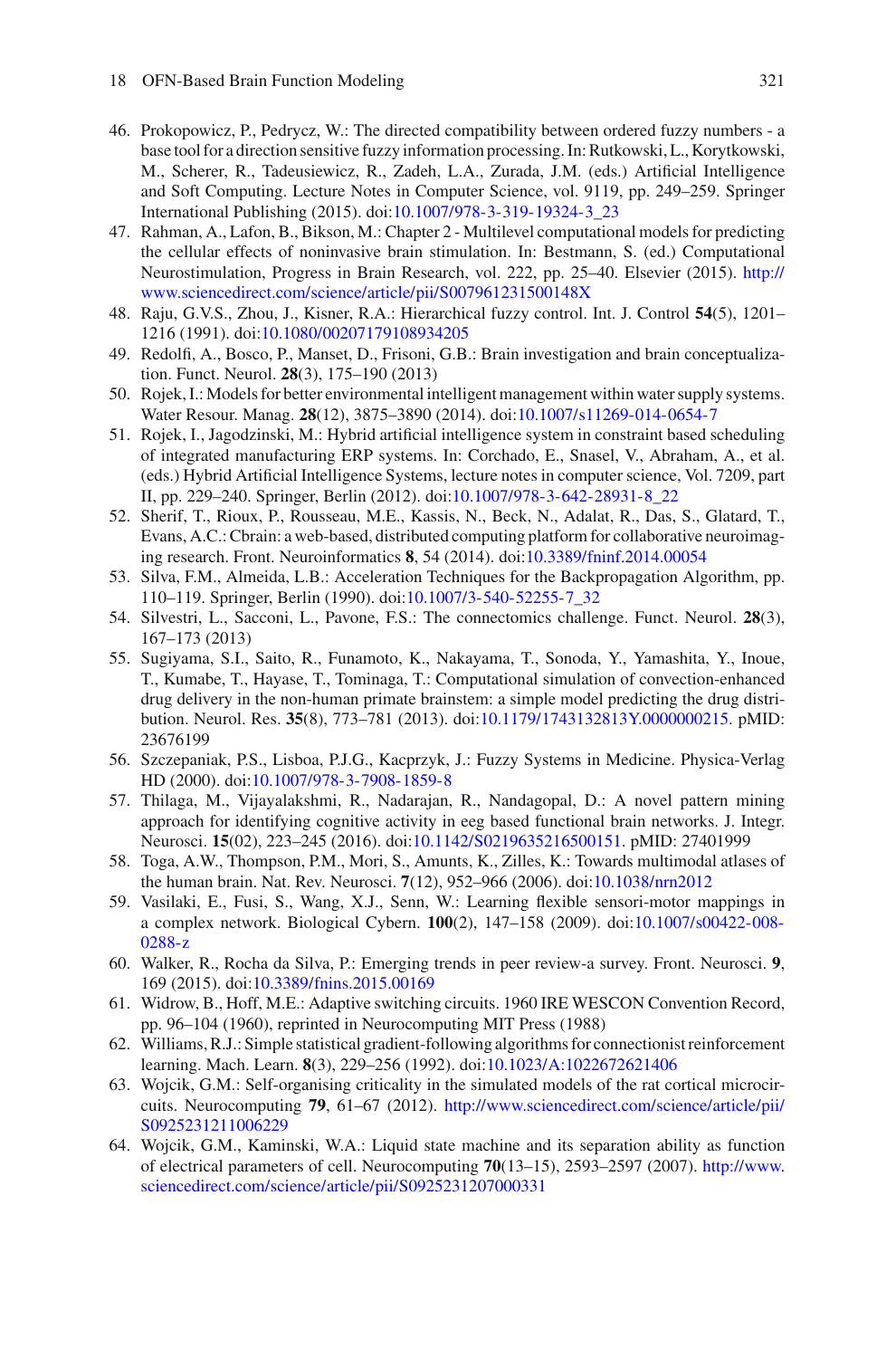- <span id="page-18-10"></span>46. Prokopowicz, P., Pedrycz, W.: The directed compatibility between ordered fuzzy numbers - a base tool for a direction sensitive fuzzy information processing. In: Rutkowski, L., Korytkowski, M., Scherer, R., Tadeusiewicz, R., Zadeh, L.A., Zurada, J.M. (eds.) Artificial Intelligence and Soft Computing. Lecture Notes in Computer Science, vol. 9119, pp. 249–259. Springer International Publishing (2015). doi[:10.1007/978-3-319-19324-3\\_23](http://dx.doi.org/10.1007/978-3-319-19324-3_23)
- <span id="page-18-5"></span>47. Rahman, A., Lafon, B., Bikson, M.: Chapter 2 - Multilevel computational models for predicting the cellular effects of noninvasive brain stimulation. In: Bestmann, S. (ed.) Computational Neurostimulation, Progress in Brain Research, vol. 222, pp. 25–40. Elsevier (2015). [http://](http://www.sciencedirect.com/science/article/pii/S007961231500148X) [www.sciencedirect.com/science/article/pii/S007961231500148X](http://www.sciencedirect.com/science/article/pii/S007961231500148X)
- <span id="page-18-2"></span>48. Raju, G.V.S., Zhou, J., Kisner, R.A.: Hierarchical fuzzy control. Int. J. Control **54**(5), 1201– 1216 (1991). doi[:10.1080/00207179108934205](http://dx.doi.org/10.1080/00207179108934205)
- <span id="page-18-4"></span>49. Redolfi, A., Bosco, P., Manset, D., Frisoni, G.B.: Brain investigation and brain conceptualization. Funct. Neurol. **28**(3), 175–190 (2013)
- <span id="page-18-15"></span>50. Rojek, I.: Models for better environmental intelligent management within water supply systems. Water Resour. Manag. **28**(12), 3875–3890 (2014). doi[:10.1007/s11269-014-0654-7](http://dx.doi.org/10.1007/s11269-014-0654-7)
- <span id="page-18-16"></span>51. Rojek, I., Jagodzinski, M.: Hybrid artificial intelligence system in constraint based scheduling of integrated manufacturing ERP systems. In: Corchado, E., Snasel, V., Abraham, A., et al. (eds.) Hybrid Artificial Intelligence Systems, lecture notes in computer science, Vol. 7209, part II, pp. 229–240. Springer, Berlin (2012). doi[:10.1007/978-3-642-28931-8\\_22](http://dx.doi.org/10.1007/978-3-642-28931-8_22)
- <span id="page-18-7"></span>52. Sherif, T., Rioux, P., Rousseau, M.E., Kassis, N., Beck, N., Adalat, R., Das, S., Glatard, T., Evans, A.C.: Cbrain: a web-based, distributed computing platform for collaborative neuroimaging research. Front. Neuroinformatics **8**, 54 (2014). doi[:10.3389/fninf.2014.00054](http://dx.doi.org/10.3389/fninf.2014.00054)
- <span id="page-18-14"></span>53. Silva, F.M., Almeida, L.B.: Acceleration Techniques for the Backpropagation Algorithm, pp. 110–119. Springer, Berlin (1990). doi[:10.1007/3-540-52255-7\\_32](http://dx.doi.org/10.1007/3-540-52255-7_32)
- <span id="page-18-6"></span>54. Silvestri, L., Sacconi, L., Pavone, F.S.: The connectomics challenge. Funct. Neurol. **28**(3), 167–173 (2013)
- <span id="page-18-9"></span>55. Sugiyama, S.I., Saito, R., Funamoto, K., Nakayama, T., Sonoda, Y., Yamashita, Y., Inoue, T., Kumabe, T., Hayase, T., Tominaga, T.: Computational simulation of convection-enhanced drug delivery in the non-human primate brainstem: a simple model predicting the drug distribution. Neurol. Res. **35**(8), 773–781 (2013). doi[:10.1179/1743132813Y.0000000215.](http://dx.doi.org/10.1179/1743132813Y.0000000215) pMID: 23676199
- <span id="page-18-1"></span>56. Szczepaniak, P.S., Lisboa, P.J.G., Kacprzyk, J.: Fuzzy Systems in Medicine. Physica-Verlag HD (2000). doi[:10.1007/978-3-7908-1859-8](http://dx.doi.org/10.1007/978-3-7908-1859-8)
- <span id="page-18-8"></span>57. Thilaga, M., Vijayalakshmi, R., Nadarajan, R., Nandagopal, D.: A novel pattern mining approach for identifying cognitive activity in eeg based functional brain networks. J. Integr. Neurosci. **15**(02), 223–245 (2016). doi[:10.1142/S0219635216500151.](http://dx.doi.org/10.1142/S0219635216500151) pMID: 27401999
- <span id="page-18-3"></span>58. Toga, A.W., Thompson, P.M., Mori, S., Amunts, K., Zilles, K.: Towards multimodal atlases of the human brain. Nat. Rev. Neurosci. **7**(12), 952–966 (2006). doi[:10.1038/nrn2012](http://dx.doi.org/10.1038/nrn2012)
- <span id="page-18-12"></span>59. Vasilaki, E., Fusi, S., Wang, X.J., Senn, W.: Learning flexible sensori-motor mappings in a complex network. Biological Cybern. **100**(2), 147–158 (2009). doi[:10.1007/s00422-008-](http://dx.doi.org/10.1007/s00422-008-0288-z) [0288-z](http://dx.doi.org/10.1007/s00422-008-0288-z)
- <span id="page-18-0"></span>60. Walker, R., Rocha da Silva, P.: Emerging trends in peer review-a survey. Front. Neurosci. **9**, 169 (2015). doi[:10.3389/fnins.2015.00169](http://dx.doi.org/10.3389/fnins.2015.00169)
- <span id="page-18-11"></span>61. Widrow, B., Hoff, M.E.: Adaptive switching circuits. 1960 IRE WESCON Convention Record, pp. 96–104 (1960), reprinted in Neurocomputing MIT Press (1988)
- <span id="page-18-13"></span>62. Williams, R.J.: Simple statistical gradient-following algorithms for connectionist reinforcement learning. Mach. Learn. **8**(3), 229–256 (1992). doi[:10.1023/A:1022672621406](http://dx.doi.org/10.1023/A:1022672621406)
- <span id="page-18-17"></span>63. Wojcik, G.M.: Self-organising criticality in the simulated models of the rat cortical microcircuits. Neurocomputing **79**, 61–67 (2012). [http://www.sciencedirect.com/science/article/pii/](http://www.sciencedirect.com/science/article/pii/S0925231211006229) [S0925231211006229](http://www.sciencedirect.com/science/article/pii/S0925231211006229)
- <span id="page-18-18"></span>64. Wojcik, G.M., Kaminski, W.A.: Liquid state machine and its separation ability as function of electrical parameters of cell. Neurocomputing **70**(13–15), 2593–2597 (2007). [http://www.](http://www.sciencedirect.com/science/article/pii/S0925231207000331) [sciencedirect.com/science/article/pii/S0925231207000331](http://www.sciencedirect.com/science/article/pii/S0925231207000331)